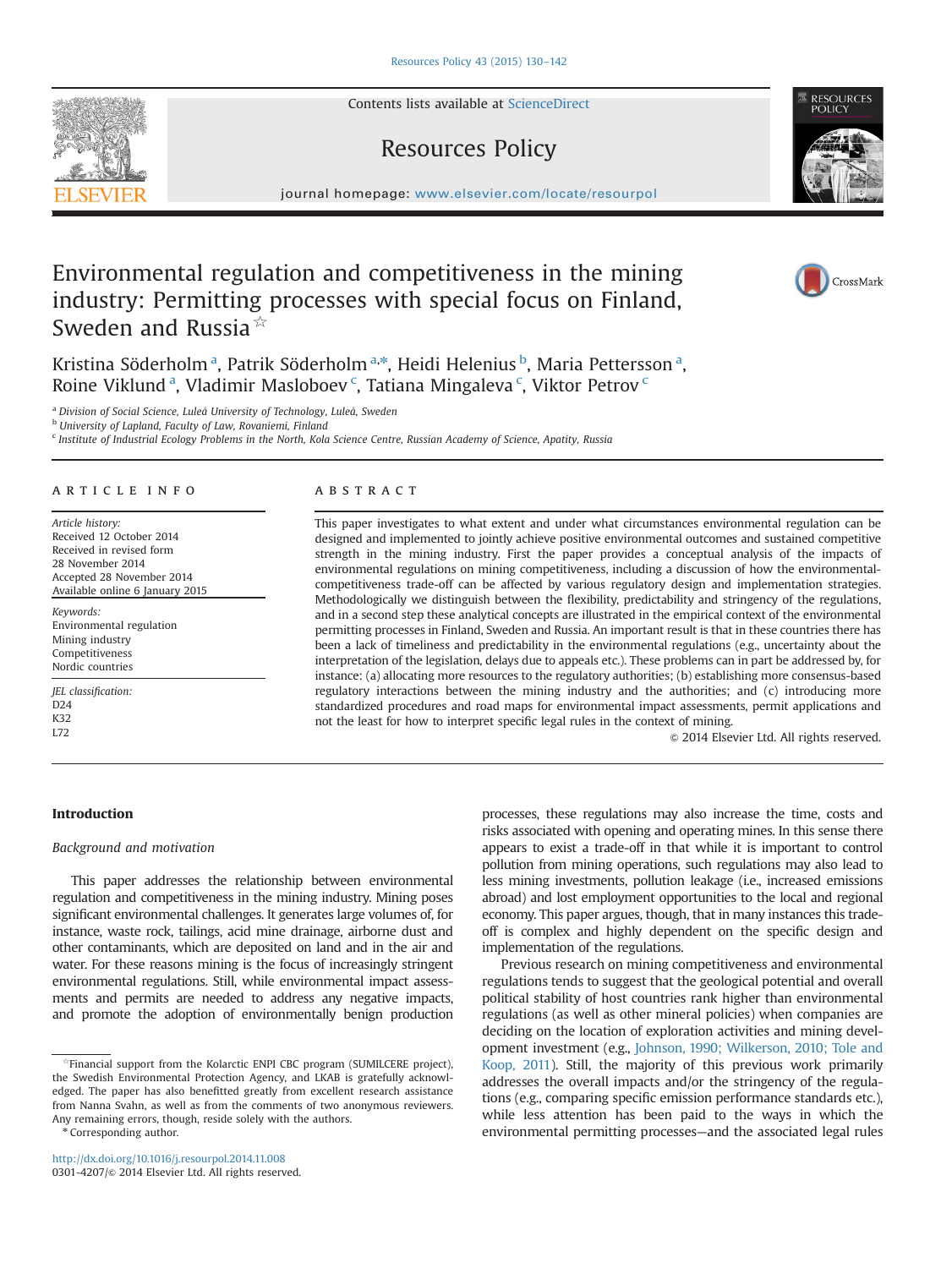Contents lists available at [ScienceDirect](www.sciencedirect.com/science/journal/03014207)

# Resources Policy

journal homepage: <www.elsevier.com/locate/resourpol>

# Environmental regulation and competitiveness in the mining industry: Permitting processes with special focus on Finland, Sweden and Russia $\frac{1}{x}$

Kristina Söderholm<sup>a</sup>, Patrik Söderholm<sup>a,\*</sup>, Heidi Helenius <sup>b</sup>, Maria Pettersson<sup>a</sup>, Roine Viklund<sup>a</sup>, Vladimir Masloboev<sup>c</sup>, Tatiana Mingaleva<sup>c</sup>, Viktor Petrov<sup>c</sup>

<sup>a</sup> Division of Social Science, Luleå University of Technology, Luleå, Sweden

**b** University of Lapland, Faculty of Law, Rovaniemi, Finland

<sup>c</sup> Institute of Industrial Ecology Problems in the North, Kola Science Centre, Russian Academy of Science, Apatity, Russia

# article info

Article history: Received 12 October 2014 Received in revised form 28 November 2014 Accepted 28 November 2014 Available online 6 January 2015

Keywords: Environmental regulation Mining industry Competitiveness Nordic countries

JEL classification: D<sub>24</sub> K32 L72

# **ABSTRACT**

This paper investigates to what extent and under what circumstances environmental regulation can be designed and implemented to jointly achieve positive environmental outcomes and sustained competitive strength in the mining industry. First the paper provides a conceptual analysis of the impacts of environmental regulations on mining competitiveness, including a discussion of how the environmentalcompetitiveness trade-off can be affected by various regulatory design and implementation strategies. Methodologically we distinguish between the flexibility, predictability and stringency of the regulations, and in a second step these analytical concepts are illustrated in the empirical context of the environmental permitting processes in Finland, Sweden and Russia. An important result is that in these countries there has been a lack of timeliness and predictability in the environmental regulations (e.g., uncertainty about the interpretation of the legislation, delays due to appeals etc.). These problems can in part be addressed by, for instance: (a) allocating more resources to the regulatory authorities; (b) establishing more consensus-based regulatory interactions between the mining industry and the authorities; and (c) introducing more standardized procedures and road maps for environmental impact assessments, permit applications and not the least for how to interpret specific legal rules in the context of mining.

 $\odot$  2014 Elsevier Ltd. All rights reserved.

# Introduction

#### Background and motivation

This paper addresses the relationship between environmental regulation and competitiveness in the mining industry. Mining poses significant environmental challenges. It generates large volumes of, for instance, waste rock, tailings, acid mine drainage, airborne dust and other contaminants, which are deposited on land and in the air and water. For these reasons mining is the focus of increasingly stringent environmental regulations. Still, while environmental impact assessments and permits are needed to address any negative impacts, and promote the adoption of environmentally benign production

\* Corresponding author.

processes, these regulations may also increase the time, costs and risks associated with opening and operating mines. In this sense there appears to exist a trade-off in that while it is important to control pollution from mining operations, such regulations may also lead to less mining investments, pollution leakage (i.e., increased emissions abroad) and lost employment opportunities to the local and regional economy. This paper argues, though, that in many instances this tradeoff is complex and highly dependent on the specific design and implementation of the regulations.

Previous research on mining competitiveness and environmental regulations tends to suggest that the geological potential and overall political stability of host countries rank higher than environmental regulations (as well as other mineral policies) when companies are deciding on the location of exploration activities and mining development investment (e.g., [Johnson, 1990; Wilkerson, 2010; Tole and](#page-11-0) [Koop, 2011\)](#page-11-0). Still, the majority of this previous work primarily addresses the overall impacts and/or the stringency of the regulations (e.g., comparing specific emission performance standards etc.), while less attention has been paid to the ways in which the environmental permitting processes—and the associated legal rules







<sup>☆</sup>Financial support from the Kolarctic ENPI CBC program (SUMILCERE project), the Swedish Environmental Protection Agency, and LKAB is gratefully acknowledged. The paper has also benefitted greatly from excellent research assistance from Nanna Svahn, as well as from the comments of two anonymous reviewers. Any remaining errors, though, reside solely with the authors.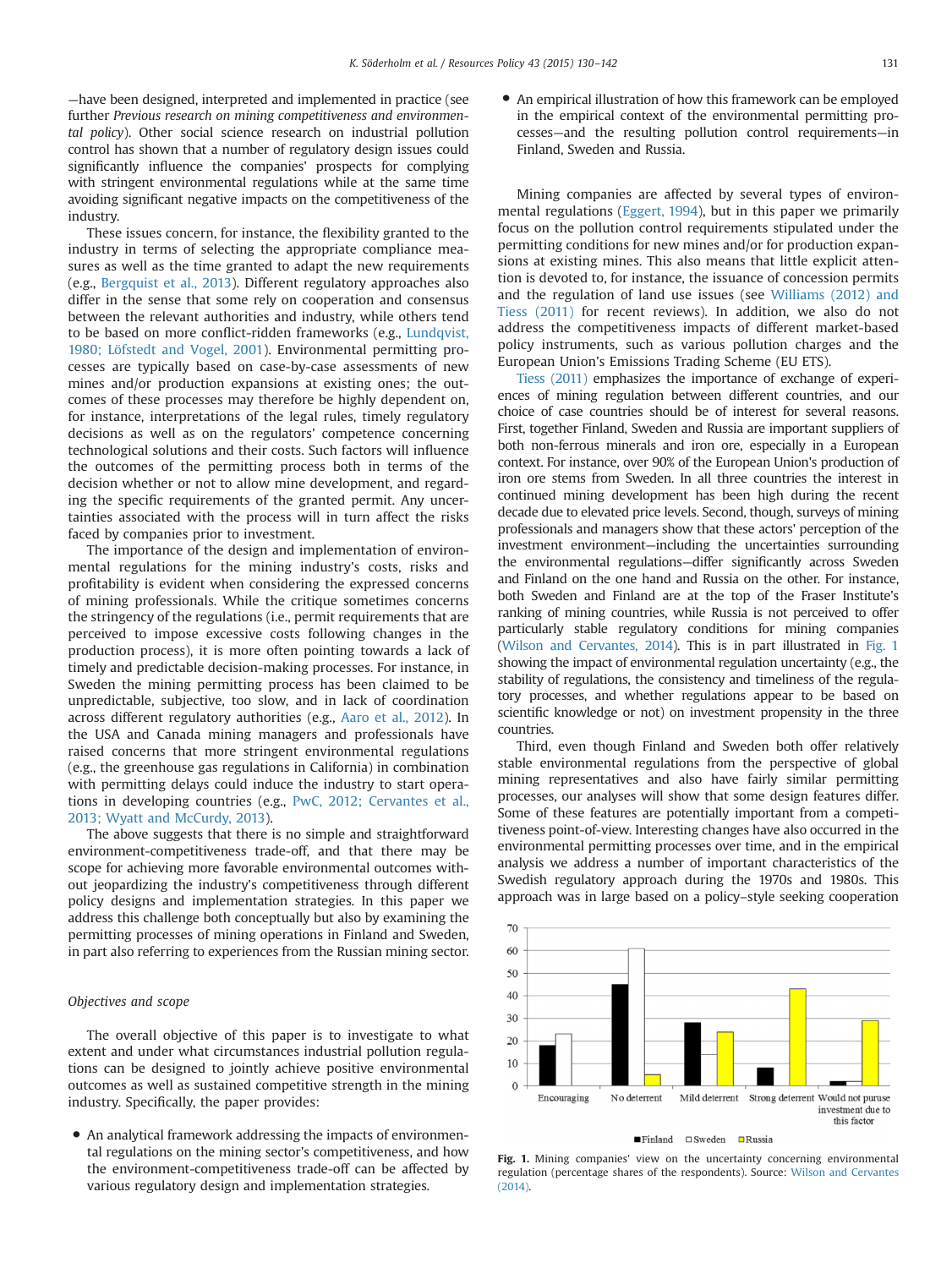—have been designed, interpreted and implemented in practice (see further Previous research on mining competitiveness and environmental policy). Other social science research on industrial pollution control has shown that a number of regulatory design issues could significantly influence the companies' prospects for complying with stringent environmental regulations while at the same time avoiding significant negative impacts on the competitiveness of the industry.

These issues concern, for instance, the flexibility granted to the industry in terms of selecting the appropriate compliance measures as well as the time granted to adapt the new requirements (e.g., [Bergquist et al., 2013\)](#page-11-0). Different regulatory approaches also differ in the sense that some rely on cooperation and consensus between the relevant authorities and industry, while others tend to be based on more conflict-ridden frameworks (e.g., [Lundqvist,](#page-11-0) [1980; Löfstedt and Vogel, 2001\)](#page-11-0). Environmental permitting processes are typically based on case-by-case assessments of new mines and/or production expansions at existing ones; the outcomes of these processes may therefore be highly dependent on, for instance, interpretations of the legal rules, timely regulatory decisions as well as on the regulators' competence concerning technological solutions and their costs. Such factors will influence the outcomes of the permitting process both in terms of the decision whether or not to allow mine development, and regarding the specific requirements of the granted permit. Any uncertainties associated with the process will in turn affect the risks faced by companies prior to investment.

The importance of the design and implementation of environmental regulations for the mining industry's costs, risks and profitability is evident when considering the expressed concerns of mining professionals. While the critique sometimes concerns the stringency of the regulations (i.e., permit requirements that are perceived to impose excessive costs following changes in the production process), it is more often pointing towards a lack of timely and predictable decision-making processes. For instance, in Sweden the mining permitting process has been claimed to be unpredictable, subjective, too slow, and in lack of coordination across different regulatory authorities (e.g., [Aaro et al., 2012\)](#page-11-0). In the USA and Canada mining managers and professionals have raised concerns that more stringent environmental regulations (e.g., the greenhouse gas regulations in California) in combination with permitting delays could induce the industry to start operations in developing countries (e.g., [PwC, 2012; Cervantes et al.,](#page-11-0) [2013; Wyatt and McCurdy, 2013\)](#page-12-0).

The above suggests that there is no simple and straightforward environment-competitiveness trade-off, and that there may be scope for achieving more favorable environmental outcomes without jeopardizing the industry's competitiveness through different policy designs and implementation strategies. In this paper we address this challenge both conceptually but also by examining the permitting processes of mining operations in Finland and Sweden, in part also referring to experiences from the Russian mining sector.

# Objectives and scope

The overall objective of this paper is to investigate to what extent and under what circumstances industrial pollution regulations can be designed to jointly achieve positive environmental outcomes as well as sustained competitive strength in the mining industry. Specifically, the paper provides:

 An analytical framework addressing the impacts of environmental regulations on the mining sector's competitiveness, and how the environment-competitiveness trade-off can be affected by various regulatory design and implementation strategies.

 An empirical illustration of how this framework can be employed in the empirical context of the environmental permitting processes—and the resulting pollution control requirements—in Finland, Sweden and Russia.

Mining companies are affected by several types of environmental regulations ([Eggert, 1994\)](#page-11-0), but in this paper we primarily focus on the pollution control requirements stipulated under the permitting conditions for new mines and/or for production expansions at existing mines. This also means that little explicit attention is devoted to, for instance, the issuance of concession permits and the regulation of land use issues (see [Williams \(2012\) and](#page-11-0) [Tiess \(2011\)](#page-11-0) for recent reviews). In addition, we also do not address the competitiveness impacts of different market-based policy instruments, such as various pollution charges and the European Union's Emissions Trading Scheme (EU ETS).

[Tiess \(2011\)](#page-11-0) emphasizes the importance of exchange of experiences of mining regulation between different countries, and our choice of case countries should be of interest for several reasons. First, together Finland, Sweden and Russia are important suppliers of both non-ferrous minerals and iron ore, especially in a European context. For instance, over 90% of the European Union's production of iron ore stems from Sweden. In all three countries the interest in continued mining development has been high during the recent decade due to elevated price levels. Second, though, surveys of mining professionals and managers show that these actors' perception of the investment environment—including the uncertainties surrounding the environmental regulations—differ significantly across Sweden and Finland on the one hand and Russia on the other. For instance, both Sweden and Finland are at the top of the Fraser Institute's ranking of mining countries, while Russia is not perceived to offer particularly stable regulatory conditions for mining companies [\(Wilson and Cervantes, 2014\)](#page-11-0). This is in part illustrated in Fig. 1 showing the impact of environmental regulation uncertainty (e.g., the stability of regulations, the consistency and timeliness of the regulatory processes, and whether regulations appear to be based on scientific knowledge or not) on investment propensity in the three countries.

Third, even though Finland and Sweden both offer relatively stable environmental regulations from the perspective of global mining representatives and also have fairly similar permitting processes, our analyses will show that some design features differ. Some of these features are potentially important from a competitiveness point-of-view. Interesting changes have also occurred in the environmental permitting processes over time, and in the empirical analysis we address a number of important characteristics of the Swedish regulatory approach during the 1970s and 1980s. This approach was in large based on a policy–style seeking cooperation



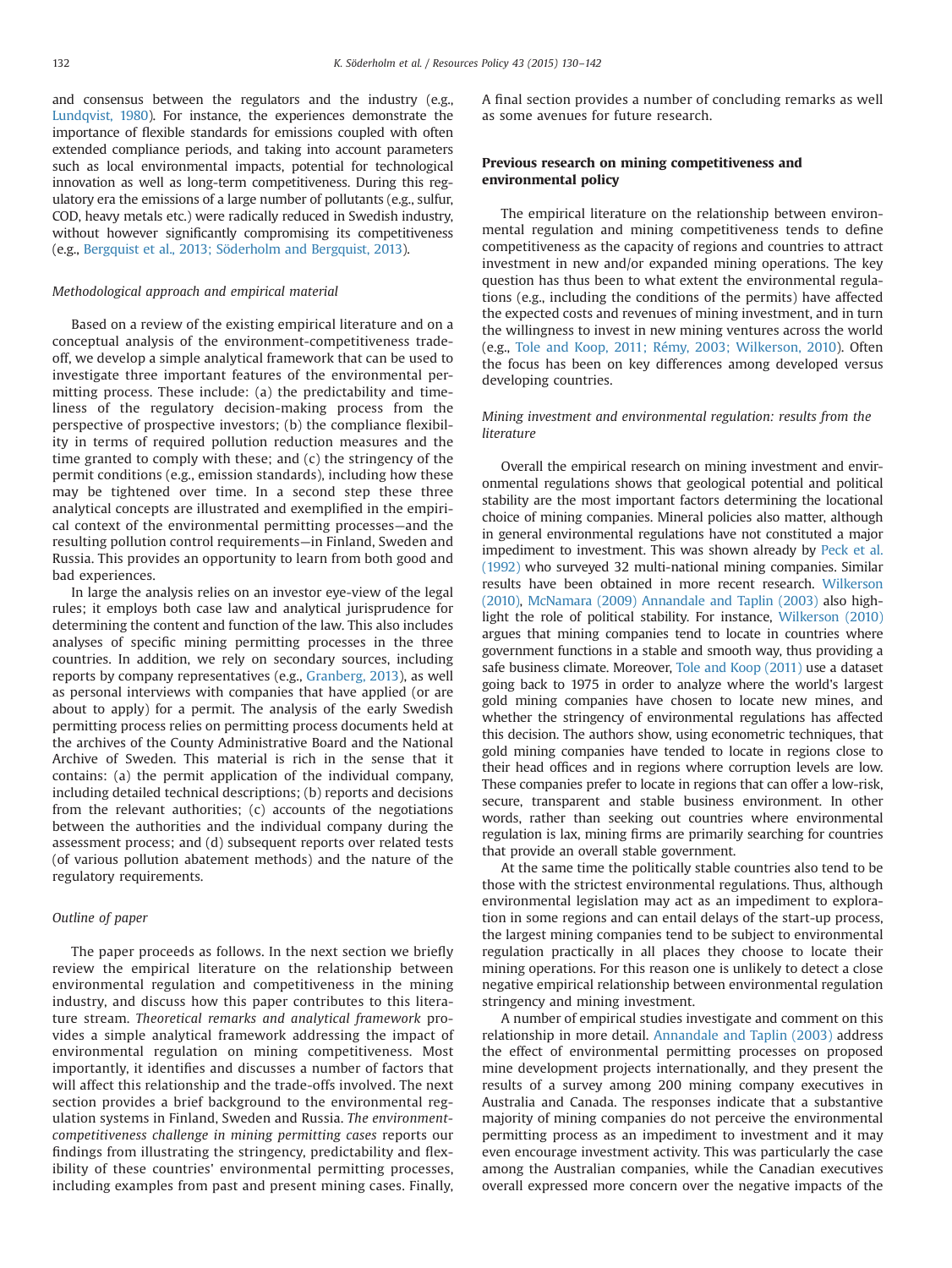and consensus between the regulators and the industry (e.g., [Lundqvist, 1980\)](#page-11-0). For instance, the experiences demonstrate the importance of flexible standards for emissions coupled with often extended compliance periods, and taking into account parameters such as local environmental impacts, potential for technological innovation as well as long-term competitiveness. During this regulatory era the emissions of a large number of pollutants (e.g., sulfur, COD, heavy metals etc.) were radically reduced in Swedish industry, without however significantly compromising its competitiveness (e.g., [Bergquist et al., 2013; Söderholm and Bergquist, 2013\)](#page-11-0).

#### Methodological approach and empirical material

Based on a review of the existing empirical literature and on a conceptual analysis of the environment-competitiveness tradeoff, we develop a simple analytical framework that can be used to investigate three important features of the environmental permitting process. These include: (a) the predictability and timeliness of the regulatory decision-making process from the perspective of prospective investors; (b) the compliance flexibility in terms of required pollution reduction measures and the time granted to comply with these; and (c) the stringency of the permit conditions (e.g., emission standards), including how these may be tightened over time. In a second step these three analytical concepts are illustrated and exemplified in the empirical context of the environmental permitting processes—and the resulting pollution control requirements—in Finland, Sweden and Russia. This provides an opportunity to learn from both good and bad experiences.

In large the analysis relies on an investor eye-view of the legal rules; it employs both case law and analytical jurisprudence for determining the content and function of the law. This also includes analyses of specific mining permitting processes in the three countries. In addition, we rely on secondary sources, including reports by company representatives (e.g., [Granberg, 2013\)](#page-11-0), as well as personal interviews with companies that have applied (or are about to apply) for a permit. The analysis of the early Swedish permitting process relies on permitting process documents held at the archives of the County Administrative Board and the National Archive of Sweden. This material is rich in the sense that it contains: (a) the permit application of the individual company, including detailed technical descriptions; (b) reports and decisions from the relevant authorities; (c) accounts of the negotiations between the authorities and the individual company during the assessment process; and (d) subsequent reports over related tests (of various pollution abatement methods) and the nature of the regulatory requirements.

#### Outline of paper

The paper proceeds as follows. In the next section we briefly review the empirical literature on the relationship between environmental regulation and competitiveness in the mining industry, and discuss how this paper contributes to this literature stream. Theoretical remarks and analytical framework provides a simple analytical framework addressing the impact of environmental regulation on mining competitiveness. Most importantly, it identifies and discusses a number of factors that will affect this relationship and the trade-offs involved. The next section provides a brief background to the environmental regulation systems in Finland, Sweden and Russia. The environmentcompetitiveness challenge in mining permitting cases reports our findings from illustrating the stringency, predictability and flexibility of these countries' environmental permitting processes, including examples from past and present mining cases. Finally, A final section provides a number of concluding remarks as well as some avenues for future research.

# Previous research on mining competitiveness and environmental policy

The empirical literature on the relationship between environmental regulation and mining competitiveness tends to define competitiveness as the capacity of regions and countries to attract investment in new and/or expanded mining operations. The key question has thus been to what extent the environmental regulations (e.g., including the conditions of the permits) have affected the expected costs and revenues of mining investment, and in turn the willingness to invest in new mining ventures across the world (e.g., [Tole and Koop, 2011; Rémy, 2003; Wilkerson, 2010](#page-11-0)). Often the focus has been on key differences among developed versus developing countries.

# Mining investment and environmental regulation: results from the literature

Overall the empirical research on mining investment and environmental regulations shows that geological potential and political stability are the most important factors determining the locational choice of mining companies. Mineral policies also matter, although in general environmental regulations have not constituted a major impediment to investment. This was shown already by [Peck et al.](#page-11-0) [\(1992\)](#page-11-0) who surveyed 32 multi-national mining companies. Similar results have been obtained in more recent research. [Wilkerson](#page-11-0) [\(2010\)](#page-11-0), [McNamara \(2009\) Annandale and Taplin \(2003\)](#page-11-0) also highlight the role of political stability. For instance, [Wilkerson \(2010\)](#page-11-0) argues that mining companies tend to locate in countries where government functions in a stable and smooth way, thus providing a safe business climate. Moreover, [Tole and Koop \(2011\)](#page-11-0) use a dataset going back to 1975 in order to analyze where the world's largest gold mining companies have chosen to locate new mines, and whether the stringency of environmental regulations has affected this decision. The authors show, using econometric techniques, that gold mining companies have tended to locate in regions close to their head offices and in regions where corruption levels are low. These companies prefer to locate in regions that can offer a low-risk, secure, transparent and stable business environment. In other words, rather than seeking out countries where environmental regulation is lax, mining firms are primarily searching for countries that provide an overall stable government.

At the same time the politically stable countries also tend to be those with the strictest environmental regulations. Thus, although environmental legislation may act as an impediment to exploration in some regions and can entail delays of the start-up process, the largest mining companies tend to be subject to environmental regulation practically in all places they choose to locate their mining operations. For this reason one is unlikely to detect a close negative empirical relationship between environmental regulation stringency and mining investment.

A number of empirical studies investigate and comment on this relationship in more detail. [Annandale and Taplin \(2003\)](#page-11-0) address the effect of environmental permitting processes on proposed mine development projects internationally, and they present the results of a survey among 200 mining company executives in Australia and Canada. The responses indicate that a substantive majority of mining companies do not perceive the environmental permitting process as an impediment to investment and it may even encourage investment activity. This was particularly the case among the Australian companies, while the Canadian executives overall expressed more concern over the negative impacts of the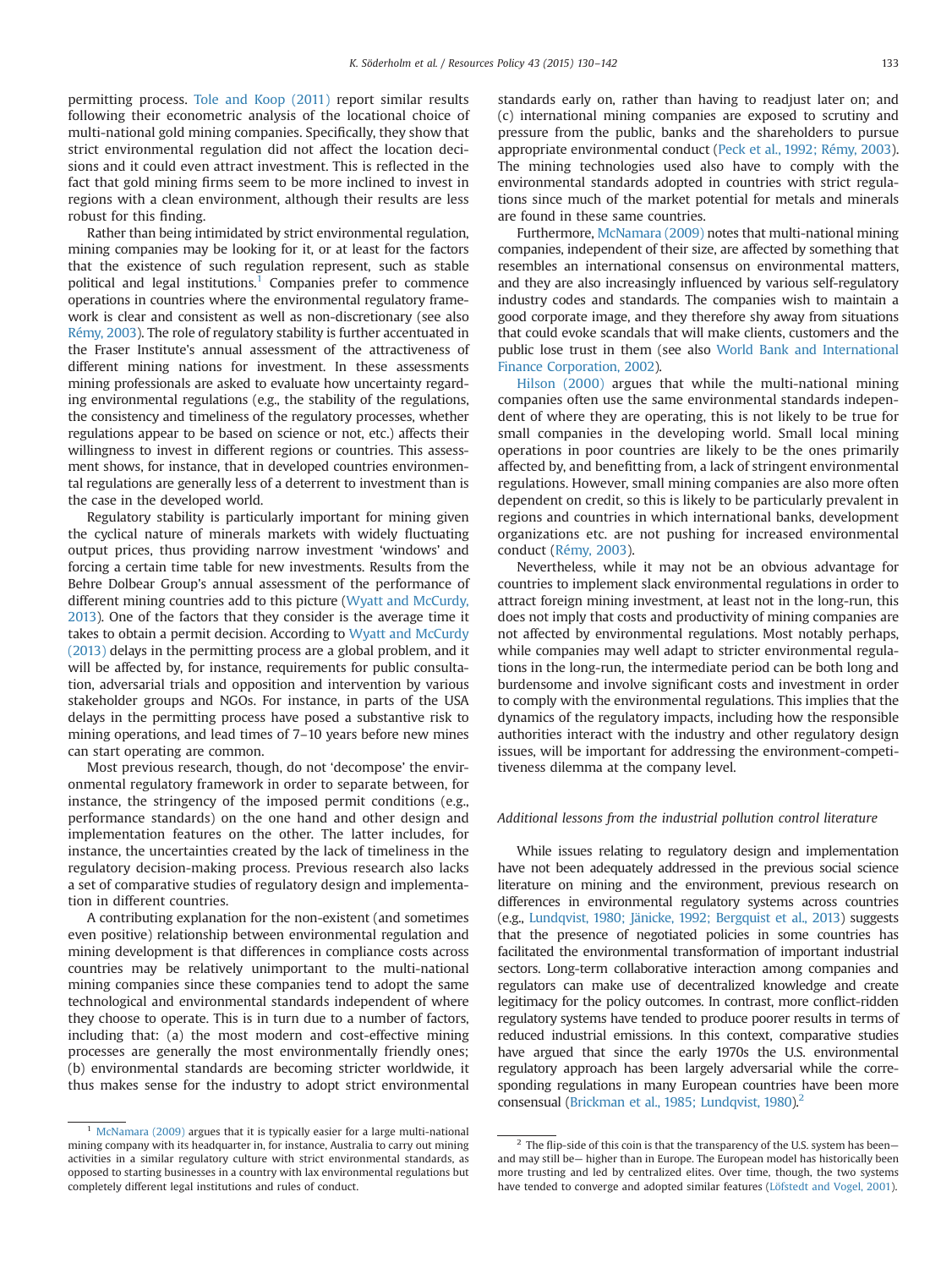permitting process. [Tole and Koop \(2011\)](#page-11-0) report similar results following their econometric analysis of the locational choice of multi-national gold mining companies. Specifically, they show that strict environmental regulation did not affect the location decisions and it could even attract investment. This is reflected in the fact that gold mining firms seem to be more inclined to invest in regions with a clean environment, although their results are less robust for this finding.

Rather than being intimidated by strict environmental regulation, mining companies may be looking for it, or at least for the factors that the existence of such regulation represent, such as stable political and legal institutions.<sup>1</sup> Companies prefer to commence operations in countries where the environmental regulatory framework is clear and consistent as well as non-discretionary (see also [Rémy, 2003](#page-11-0)). The role of regulatory stability is further accentuated in the Fraser Institute's annual assessment of the attractiveness of different mining nations for investment. In these assessments mining professionals are asked to evaluate how uncertainty regarding environmental regulations (e.g., the stability of the regulations, the consistency and timeliness of the regulatory processes, whether regulations appear to be based on science or not, etc.) affects their willingness to invest in different regions or countries. This assessment shows, for instance, that in developed countries environmental regulations are generally less of a deterrent to investment than is the case in the developed world.

Regulatory stability is particularly important for mining given the cyclical nature of minerals markets with widely fluctuating output prices, thus providing narrow investment 'windows' and forcing a certain time table for new investments. Results from the Behre Dolbear Group's annual assessment of the performance of different mining countries add to this picture ([Wyatt and McCurdy,](#page-12-0) [2013](#page-12-0)). One of the factors that they consider is the average time it takes to obtain a permit decision. According to [Wyatt and McCurdy](#page-12-0) [\(2013\)](#page-12-0) delays in the permitting process are a global problem, and it will be affected by, for instance, requirements for public consultation, adversarial trials and opposition and intervention by various stakeholder groups and NGOs. For instance, in parts of the USA delays in the permitting process have posed a substantive risk to mining operations, and lead times of 7–10 years before new mines can start operating are common.

Most previous research, though, do not 'decompose' the environmental regulatory framework in order to separate between, for instance, the stringency of the imposed permit conditions (e.g., performance standards) on the one hand and other design and implementation features on the other. The latter includes, for instance, the uncertainties created by the lack of timeliness in the regulatory decision-making process. Previous research also lacks a set of comparative studies of regulatory design and implementation in different countries.

A contributing explanation for the non-existent (and sometimes even positive) relationship between environmental regulation and mining development is that differences in compliance costs across countries may be relatively unimportant to the multi-national mining companies since these companies tend to adopt the same technological and environmental standards independent of where they choose to operate. This is in turn due to a number of factors, including that: (a) the most modern and cost-effective mining processes are generally the most environmentally friendly ones; (b) environmental standards are becoming stricter worldwide, it thus makes sense for the industry to adopt strict environmental standards early on, rather than having to readjust later on; and (c) international mining companies are exposed to scrutiny and pressure from the public, banks and the shareholders to pursue appropriate environmental conduct [\(Peck et al., 1992; Rémy, 2003\)](#page-11-0). The mining technologies used also have to comply with the environmental standards adopted in countries with strict regulations since much of the market potential for metals and minerals are found in these same countries.

Furthermore, [McNamara \(2009\)](#page-11-0) notes that multi-national mining companies, independent of their size, are affected by something that resembles an international consensus on environmental matters, and they are also increasingly influenced by various self-regulatory industry codes and standards. The companies wish to maintain a good corporate image, and they therefore shy away from situations that could evoke scandals that will make clients, customers and the public lose trust in them (see also [World Bank and International](#page-12-0) [Finance Corporation, 2002\)](#page-12-0).

[Hilson \(2000\)](#page-11-0) argues that while the multi-national mining companies often use the same environmental standards independent of where they are operating, this is not likely to be true for small companies in the developing world. Small local mining operations in poor countries are likely to be the ones primarily affected by, and benefitting from, a lack of stringent environmental regulations. However, small mining companies are also more often dependent on credit, so this is likely to be particularly prevalent in regions and countries in which international banks, development organizations etc. are not pushing for increased environmental conduct ([Rémy, 2003](#page-11-0)).

Nevertheless, while it may not be an obvious advantage for countries to implement slack environmental regulations in order to attract foreign mining investment, at least not in the long-run, this does not imply that costs and productivity of mining companies are not affected by environmental regulations. Most notably perhaps, while companies may well adapt to stricter environmental regulations in the long-run, the intermediate period can be both long and burdensome and involve significant costs and investment in order to comply with the environmental regulations. This implies that the dynamics of the regulatory impacts, including how the responsible authorities interact with the industry and other regulatory design issues, will be important for addressing the environment-competitiveness dilemma at the company level.

#### Additional lessons from the industrial pollution control literature

While issues relating to regulatory design and implementation have not been adequately addressed in the previous social science literature on mining and the environment, previous research on differences in environmental regulatory systems across countries (e.g., [Lundqvist, 1980; Jänicke, 1992; Bergquist et al., 2013\)](#page-11-0) suggests that the presence of negotiated policies in some countries has facilitated the environmental transformation of important industrial sectors. Long-term collaborative interaction among companies and regulators can make use of decentralized knowledge and create legitimacy for the policy outcomes. In contrast, more conflict-ridden regulatory systems have tended to produce poorer results in terms of reduced industrial emissions. In this context, comparative studies have argued that since the early 1970s the U.S. environmental regulatory approach has been largely adversarial while the corresponding regulations in many European countries have been more consensual ([Brickman et al., 1985; Lundqvist, 1980](#page-11-0)).<sup>2</sup>

<sup>&</sup>lt;sup>1</sup> [McNamara \(2009\)](#page-11-0) argues that it is typically easier for a large multi-national mining company with its headquarter in, for instance, Australia to carry out mining activities in a similar regulatory culture with strict environmental standards, as opposed to starting businesses in a country with lax environmental regulations but completely different legal institutions and rules of conduct.

 $2$  The flip-side of this coin is that the transparency of the U.S. system has been– and may still be— higher than in Europe. The European model has historically been more trusting and led by centralized elites. Over time, though, the two systems have tended to converge and adopted similar features ([Löfstedt and Vogel, 2001\)](#page-11-0).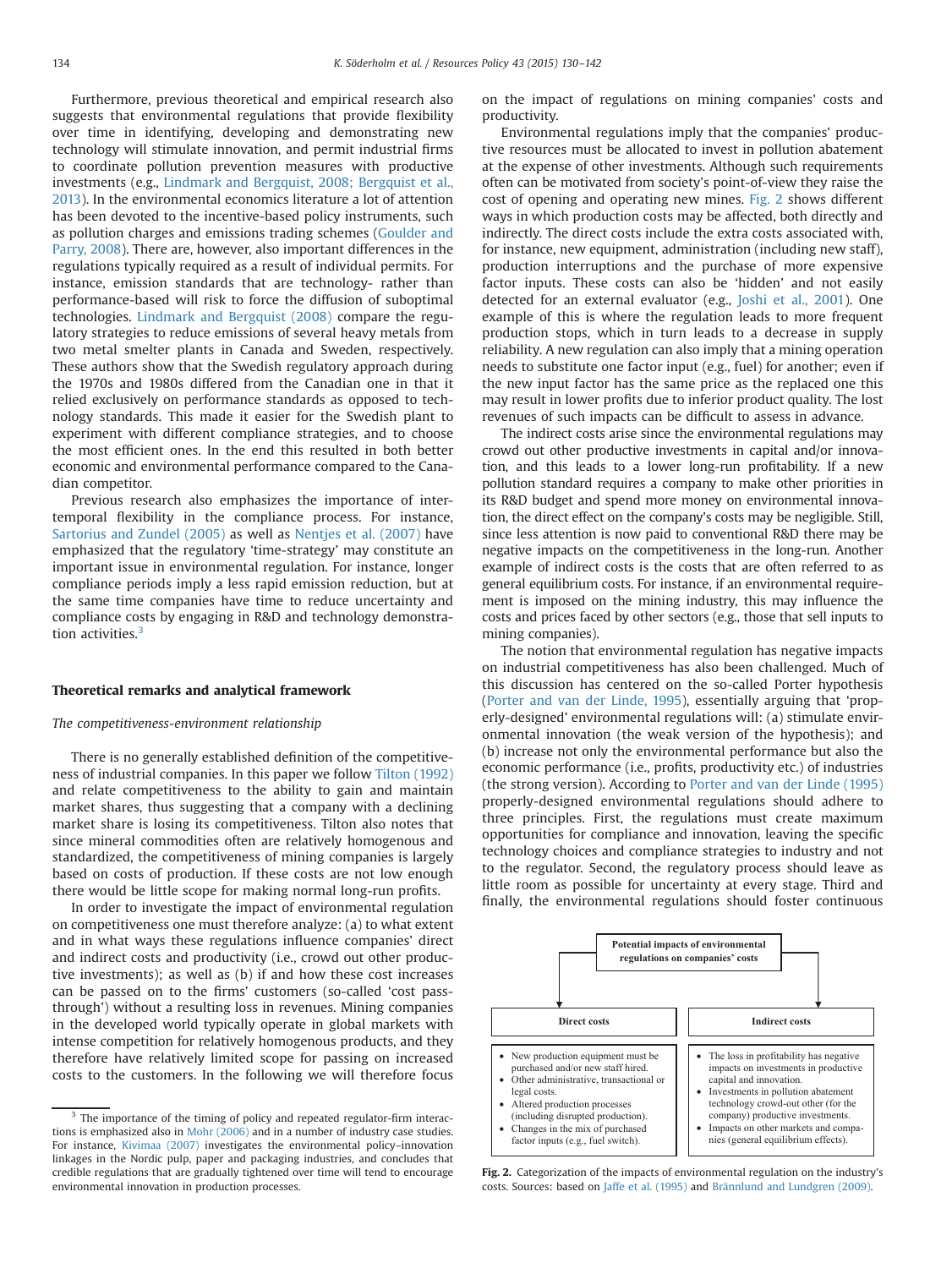Furthermore, previous theoretical and empirical research also suggests that environmental regulations that provide flexibility over time in identifying, developing and demonstrating new technology will stimulate innovation, and permit industrial firms to coordinate pollution prevention measures with productive investments (e.g., [Lindmark and Bergquist, 2008; Bergquist et al.,](#page-11-0) [2013\)](#page-11-0). In the environmental economics literature a lot of attention has been devoted to the incentive-based policy instruments, such as pollution charges and emissions trading schemes ([Goulder and](#page-11-0) [Parry, 2008\)](#page-11-0). There are, however, also important differences in the regulations typically required as a result of individual permits. For instance, emission standards that are technology- rather than performance-based will risk to force the diffusion of suboptimal technologies. [Lindmark and Bergquist \(2008\)](#page-11-0) compare the regulatory strategies to reduce emissions of several heavy metals from two metal smelter plants in Canada and Sweden, respectively. These authors show that the Swedish regulatory approach during the 1970s and 1980s differed from the Canadian one in that it relied exclusively on performance standards as opposed to technology standards. This made it easier for the Swedish plant to experiment with different compliance strategies, and to choose the most efficient ones. In the end this resulted in both better economic and environmental performance compared to the Canadian competitor.

Previous research also emphasizes the importance of intertemporal flexibility in the compliance process. For instance, [Sartorius and Zundel \(2005\)](#page-11-0) as well as [Nentjes et al. \(2007\)](#page-11-0) have emphasized that the regulatory 'time-strategy' may constitute an important issue in environmental regulation. For instance, longer compliance periods imply a less rapid emission reduction, but at the same time companies have time to reduce uncertainty and compliance costs by engaging in R&D and technology demonstration activities.<sup>3</sup>

#### Theoretical remarks and analytical framework

# The competitiveness-environment relationship

There is no generally established definition of the competitiveness of industrial companies. In this paper we follow [Tilton \(1992\)](#page-11-0) and relate competitiveness to the ability to gain and maintain market shares, thus suggesting that a company with a declining market share is losing its competitiveness. Tilton also notes that since mineral commodities often are relatively homogenous and standardized, the competitiveness of mining companies is largely based on costs of production. If these costs are not low enough there would be little scope for making normal long-run profits.

In order to investigate the impact of environmental regulation on competitiveness one must therefore analyze: (a) to what extent and in what ways these regulations influence companies' direct and indirect costs and productivity (i.e., crowd out other productive investments); as well as (b) if and how these cost increases can be passed on to the firms' customers (so-called 'cost passthrough') without a resulting loss in revenues. Mining companies in the developed world typically operate in global markets with intense competition for relatively homogenous products, and they therefore have relatively limited scope for passing on increased costs to the customers. In the following we will therefore focus on the impact of regulations on mining companies' costs and productivity.

Environmental regulations imply that the companies' productive resources must be allocated to invest in pollution abatement at the expense of other investments. Although such requirements often can be motivated from society's point-of-view they raise the cost of opening and operating new mines. Fig. 2 shows different ways in which production costs may be affected, both directly and indirectly. The direct costs include the extra costs associated with, for instance, new equipment, administration (including new staff), production interruptions and the purchase of more expensive factor inputs. These costs can also be 'hidden' and not easily detected for an external evaluator (e.g., [Joshi et al., 2001\)](#page-11-0). One example of this is where the regulation leads to more frequent production stops, which in turn leads to a decrease in supply reliability. A new regulation can also imply that a mining operation needs to substitute one factor input (e.g., fuel) for another; even if the new input factor has the same price as the replaced one this may result in lower profits due to inferior product quality. The lost revenues of such impacts can be difficult to assess in advance.

The indirect costs arise since the environmental regulations may crowd out other productive investments in capital and/or innovation, and this leads to a lower long-run profitability. If a new pollution standard requires a company to make other priorities in its R&D budget and spend more money on environmental innovation, the direct effect on the company's costs may be negligible. Still, since less attention is now paid to conventional R&D there may be negative impacts on the competitiveness in the long-run. Another example of indirect costs is the costs that are often referred to as general equilibrium costs. For instance, if an environmental requirement is imposed on the mining industry, this may influence the costs and prices faced by other sectors (e.g., those that sell inputs to mining companies).

The notion that environmental regulation has negative impacts on industrial competitiveness has also been challenged. Much of this discussion has centered on the so-called Porter hypothesis ([Porter and van der Linde, 1995\)](#page-11-0), essentially arguing that 'properly-designed' environmental regulations will: (a) stimulate environmental innovation (the weak version of the hypothesis); and (b) increase not only the environmental performance but also the economic performance (i.e., profits, productivity etc.) of industries (the strong version). According to [Porter and van der Linde \(1995\)](#page-11-0) properly-designed environmental regulations should adhere to three principles. First, the regulations must create maximum opportunities for compliance and innovation, leaving the specific technology choices and compliance strategies to industry and not to the regulator. Second, the regulatory process should leave as little room as possible for uncertainty at every stage. Third and finally, the environmental regulations should foster continuous



Fig. 2. Categorization of the impacts of environmental regulation on the industry's costs. Sources: based on [Jaffe et al. \(1995\)](#page-11-0) and [Brännlund and Lundgren \(2009\).](#page-11-0)

<sup>&</sup>lt;sup>3</sup> The importance of the timing of policy and repeated regulator-firm interactions is emphasized also in [Mohr \(2006\)](#page-11-0) and in a number of industry case studies. For instance, [Kivimaa \(2007\)](#page-11-0) investigates the environmental policy–innovation linkages in the Nordic pulp, paper and packaging industries, and concludes that credible regulations that are gradually tightened over time will tend to encourage environmental innovation in production processes.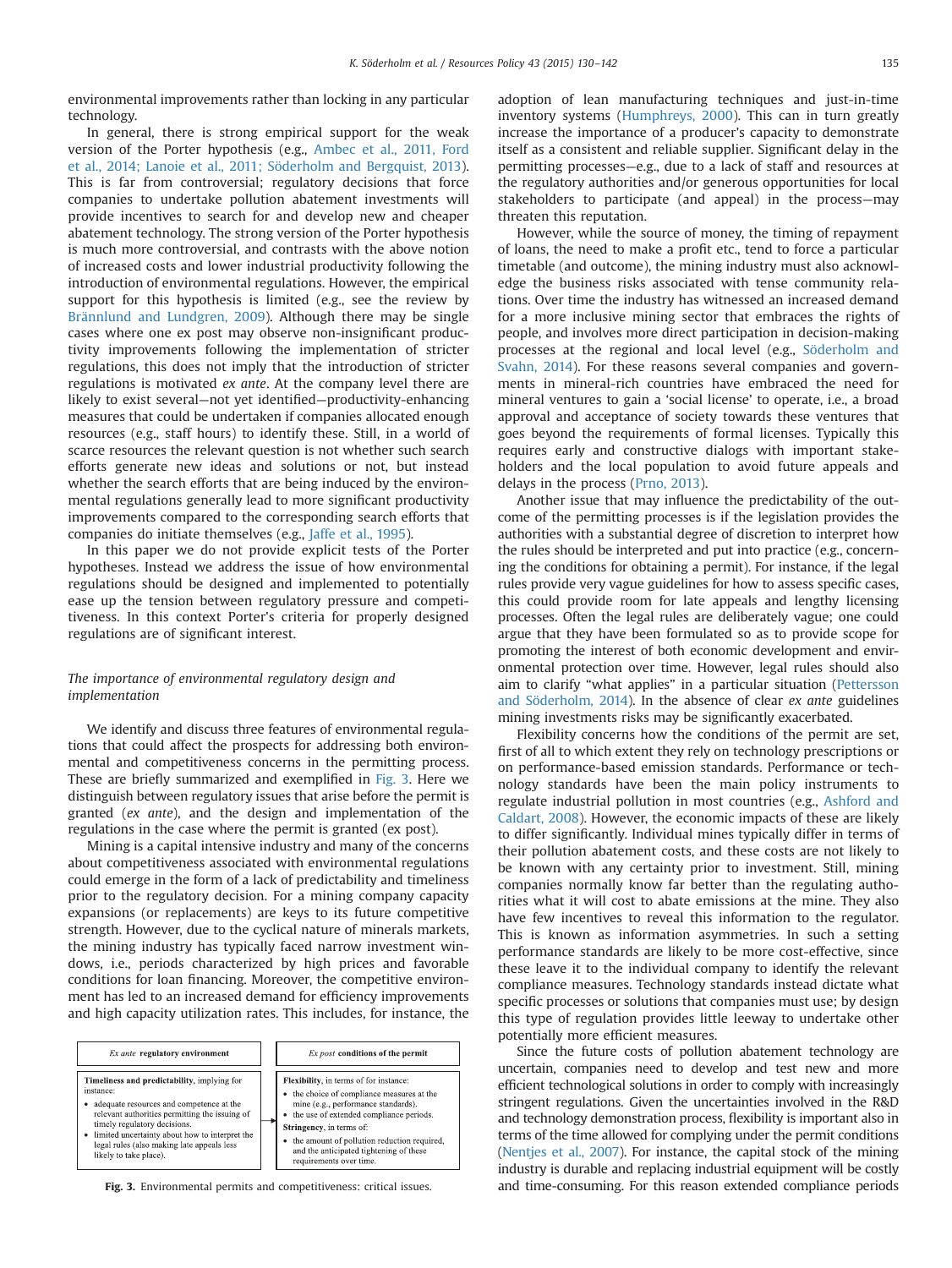environmental improvements rather than locking in any particular technology.

In general, there is strong empirical support for the weak version of the Porter hypothesis (e.g., [Ambec et al., 2011, Ford](#page-11-0) [et al., 2014; Lanoie et al., 2011; Söderholm and Bergquist, 2013\)](#page-11-0). This is far from controversial; regulatory decisions that force companies to undertake pollution abatement investments will provide incentives to search for and develop new and cheaper abatement technology. The strong version of the Porter hypothesis is much more controversial, and contrasts with the above notion of increased costs and lower industrial productivity following the introduction of environmental regulations. However, the empirical support for this hypothesis is limited (e.g., see the review by [Brännlund and Lundgren, 2009\)](#page-11-0). Although there may be single cases where one ex post may observe non-insignificant productivity improvements following the implementation of stricter regulations, this does not imply that the introduction of stricter regulations is motivated ex ante. At the company level there are likely to exist several—not yet identified—productivity-enhancing measures that could be undertaken if companies allocated enough resources (e.g., staff hours) to identify these. Still, in a world of scarce resources the relevant question is not whether such search efforts generate new ideas and solutions or not, but instead whether the search efforts that are being induced by the environmental regulations generally lead to more significant productivity improvements compared to the corresponding search efforts that companies do initiate themselves (e.g., [Jaffe et al., 1995\)](#page-11-0).

In this paper we do not provide explicit tests of the Porter hypotheses. Instead we address the issue of how environmental regulations should be designed and implemented to potentially ease up the tension between regulatory pressure and competitiveness. In this context Porter's criteria for properly designed regulations are of significant interest.

# The importance of environmental regulatory design and implementation

We identify and discuss three features of environmental regulations that could affect the prospects for addressing both environmental and competitiveness concerns in the permitting process. These are briefly summarized and exemplified in Fig. 3. Here we distinguish between regulatory issues that arise before the permit is granted (ex ante), and the design and implementation of the regulations in the case where the permit is granted (ex post).

Mining is a capital intensive industry and many of the concerns about competitiveness associated with environmental regulations could emerge in the form of a lack of predictability and timeliness prior to the regulatory decision. For a mining company capacity expansions (or replacements) are keys to its future competitive strength. However, due to the cyclical nature of minerals markets, the mining industry has typically faced narrow investment windows, i.e., periods characterized by high prices and favorable conditions for loan financing. Moreover, the competitive environment has led to an increased demand for efficiency improvements and high capacity utilization rates. This includes, for instance, the

| Ex ante regulatory environment                                                                                                                                                                                                                                                                                   | Ex post conditions of the permit                                                                                                                                                                                                                                                                                            |
|------------------------------------------------------------------------------------------------------------------------------------------------------------------------------------------------------------------------------------------------------------------------------------------------------------------|-----------------------------------------------------------------------------------------------------------------------------------------------------------------------------------------------------------------------------------------------------------------------------------------------------------------------------|
| Timeliness and predictability, implying for<br>instance:<br>adequate resources and competence at the<br>relevant authorities permitting the issuing of<br>timely regulatory decisions.<br>limited uncertainty about how to interpret the<br>legal rules (also making late appeals less<br>likely to take place). | Flexibility, in terms of for instance:<br>• the choice of compliance measures at the<br>mine (e.g., performance standards).<br>• the use of extended compliance periods.<br>Stringency, in terms of:<br>• the amount of pollution reduction required,<br>and the anticipated tightening of these<br>requirements over time. |

adoption of lean manufacturing techniques and just-in-time inventory systems [\(Humphreys, 2000\)](#page-11-0). This can in turn greatly increase the importance of a producer's capacity to demonstrate itself as a consistent and reliable supplier. Significant delay in the permitting processes—e.g., due to a lack of staff and resources at the regulatory authorities and/or generous opportunities for local stakeholders to participate (and appeal) in the process—may threaten this reputation.

However, while the source of money, the timing of repayment of loans, the need to make a profit etc., tend to force a particular timetable (and outcome), the mining industry must also acknowledge the business risks associated with tense community relations. Over time the industry has witnessed an increased demand for a more inclusive mining sector that embraces the rights of people, and involves more direct participation in decision-making processes at the regional and local level (e.g., [Söderholm and](#page-11-0) [Svahn, 2014](#page-11-0)). For these reasons several companies and governments in mineral-rich countries have embraced the need for mineral ventures to gain a 'social license' to operate, i.e., a broad approval and acceptance of society towards these ventures that goes beyond the requirements of formal licenses. Typically this requires early and constructive dialogs with important stakeholders and the local population to avoid future appeals and delays in the process ([Prno, 2013](#page-11-0)).

Another issue that may influence the predictability of the outcome of the permitting processes is if the legislation provides the authorities with a substantial degree of discretion to interpret how the rules should be interpreted and put into practice (e.g., concerning the conditions for obtaining a permit). For instance, if the legal rules provide very vague guidelines for how to assess specific cases, this could provide room for late appeals and lengthy licensing processes. Often the legal rules are deliberately vague; one could argue that they have been formulated so as to provide scope for promoting the interest of both economic development and environmental protection over time. However, legal rules should also aim to clarify "what applies" in a particular situation ([Pettersson](#page-11-0) [and Söderholm, 2014\)](#page-11-0). In the absence of clear ex ante guidelines mining investments risks may be significantly exacerbated.

Flexibility concerns how the conditions of the permit are set, first of all to which extent they rely on technology prescriptions or on performance-based emission standards. Performance or technology standards have been the main policy instruments to regulate industrial pollution in most countries (e.g., [Ashford and](#page-11-0) [Caldart, 2008](#page-11-0)). However, the economic impacts of these are likely to differ significantly. Individual mines typically differ in terms of their pollution abatement costs, and these costs are not likely to be known with any certainty prior to investment. Still, mining companies normally know far better than the regulating authorities what it will cost to abate emissions at the mine. They also have few incentives to reveal this information to the regulator. This is known as information asymmetries. In such a setting performance standards are likely to be more cost-effective, since these leave it to the individual company to identify the relevant compliance measures. Technology standards instead dictate what specific processes or solutions that companies must use; by design this type of regulation provides little leeway to undertake other potentially more efficient measures.

Since the future costs of pollution abatement technology are uncertain, companies need to develop and test new and more efficient technological solutions in order to comply with increasingly stringent regulations. Given the uncertainties involved in the R&D and technology demonstration process, flexibility is important also in terms of the time allowed for complying under the permit conditions [\(Nentjes et al., 2007](#page-11-0)). For instance, the capital stock of the mining industry is durable and replacing industrial equipment will be costly Fig. 3. Environmental permits and competitiveness: critical issues. and time-consuming. For this reason extended compliance periods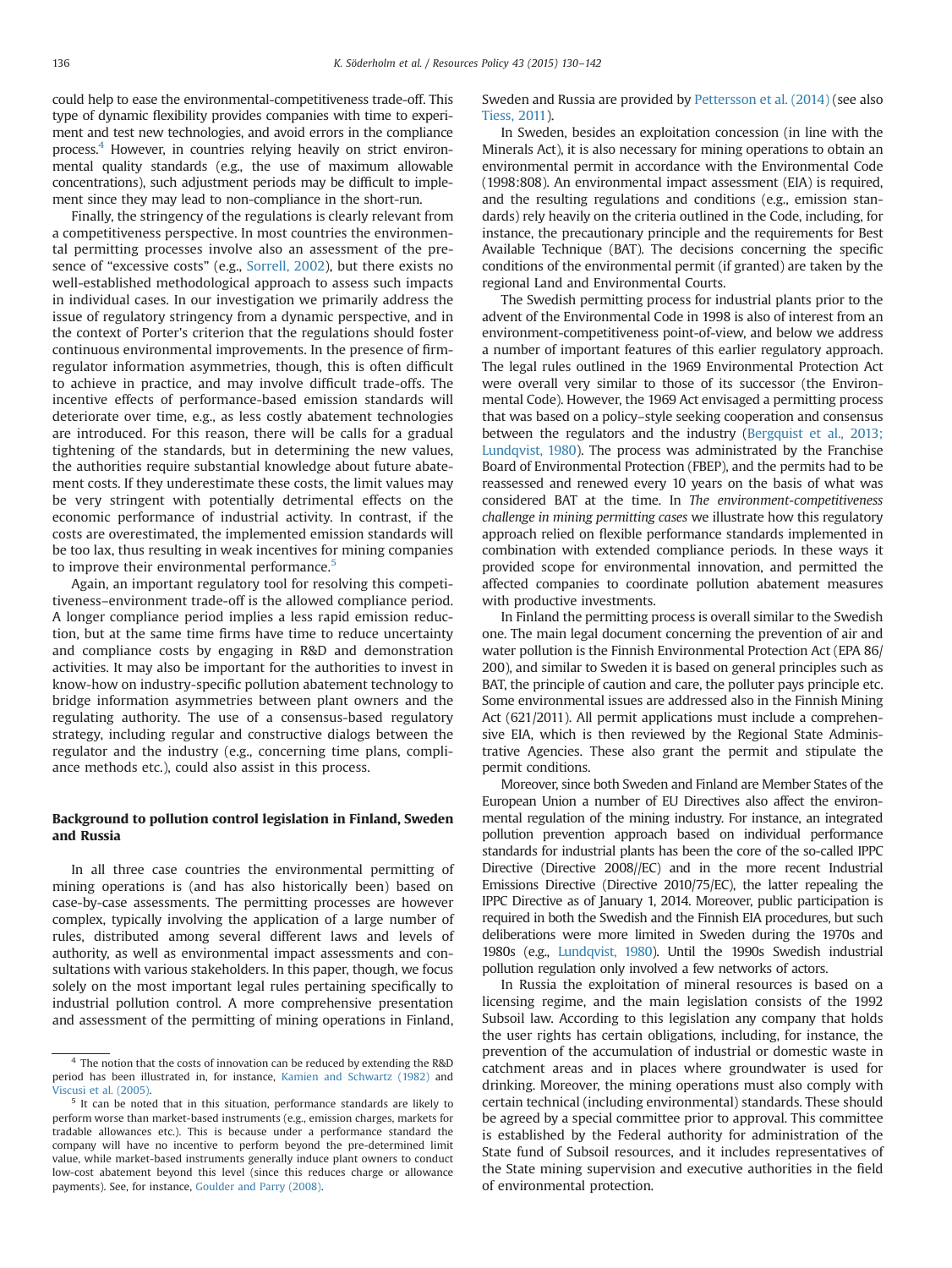could help to ease the environmental-competitiveness trade-off. This type of dynamic flexibility provides companies with time to experiment and test new technologies, and avoid errors in the compliance process.4 However, in countries relying heavily on strict environmental quality standards (e.g., the use of maximum allowable concentrations), such adjustment periods may be difficult to implement since they may lead to non-compliance in the short-run.

Finally, the stringency of the regulations is clearly relevant from a competitiveness perspective. In most countries the environmental permitting processes involve also an assessment of the presence of "excessive costs" (e.g., [Sorrell, 2002](#page-11-0)), but there exists no well-established methodological approach to assess such impacts in individual cases. In our investigation we primarily address the issue of regulatory stringency from a dynamic perspective, and in the context of Porter's criterion that the regulations should foster continuous environmental improvements. In the presence of firmregulator information asymmetries, though, this is often difficult to achieve in practice, and may involve difficult trade-offs. The incentive effects of performance-based emission standards will deteriorate over time, e.g., as less costly abatement technologies are introduced. For this reason, there will be calls for a gradual tightening of the standards, but in determining the new values, the authorities require substantial knowledge about future abatement costs. If they underestimate these costs, the limit values may be very stringent with potentially detrimental effects on the economic performance of industrial activity. In contrast, if the costs are overestimated, the implemented emission standards will be too lax, thus resulting in weak incentives for mining companies to improve their environmental performance.<sup>5</sup>

Again, an important regulatory tool for resolving this competitiveness–environment trade-off is the allowed compliance period. A longer compliance period implies a less rapid emission reduction, but at the same time firms have time to reduce uncertainty and compliance costs by engaging in R&D and demonstration activities. It may also be important for the authorities to invest in know-how on industry-specific pollution abatement technology to bridge information asymmetries between plant owners and the regulating authority. The use of a consensus-based regulatory strategy, including regular and constructive dialogs between the regulator and the industry (e.g., concerning time plans, compliance methods etc.), could also assist in this process.

# Background to pollution control legislation in Finland, Sweden and Russia

In all three case countries the environmental permitting of mining operations is (and has also historically been) based on case-by-case assessments. The permitting processes are however complex, typically involving the application of a large number of rules, distributed among several different laws and levels of authority, as well as environmental impact assessments and consultations with various stakeholders. In this paper, though, we focus solely on the most important legal rules pertaining specifically to industrial pollution control. A more comprehensive presentation and assessment of the permitting of mining operations in Finland, Sweden and Russia are provided by [Pettersson et al. \(2014\)](#page-11-0) (see also [Tiess, 2011\)](#page-11-0).

In Sweden, besides an exploitation concession (in line with the Minerals Act), it is also necessary for mining operations to obtain an environmental permit in accordance with the Environmental Code (1998:808). An environmental impact assessment (EIA) is required, and the resulting regulations and conditions (e.g., emission standards) rely heavily on the criteria outlined in the Code, including, for instance, the precautionary principle and the requirements for Best Available Technique (BAT). The decisions concerning the specific conditions of the environmental permit (if granted) are taken by the regional Land and Environmental Courts.

The Swedish permitting process for industrial plants prior to the advent of the Environmental Code in 1998 is also of interest from an environment-competitiveness point-of-view, and below we address a number of important features of this earlier regulatory approach. The legal rules outlined in the 1969 Environmental Protection Act were overall very similar to those of its successor (the Environmental Code). However, the 1969 Act envisaged a permitting process that was based on a policy–style seeking cooperation and consensus between the regulators and the industry ([Bergquist et al., 2013;](#page-11-0) [Lundqvist, 1980\)](#page-11-0). The process was administrated by the Franchise Board of Environmental Protection (FBEP), and the permits had to be reassessed and renewed every 10 years on the basis of what was considered BAT at the time. In The environment-competitiveness challenge in mining permitting cases we illustrate how this regulatory approach relied on flexible performance standards implemented in combination with extended compliance periods. In these ways it provided scope for environmental innovation, and permitted the affected companies to coordinate pollution abatement measures with productive investments.

In Finland the permitting process is overall similar to the Swedish one. The main legal document concerning the prevention of air and water pollution is the Finnish Environmental Protection Act (EPA 86/ 200), and similar to Sweden it is based on general principles such as BAT, the principle of caution and care, the polluter pays principle etc. Some environmental issues are addressed also in the Finnish Mining Act (621/2011). All permit applications must include a comprehensive EIA, which is then reviewed by the Regional State Administrative Agencies. These also grant the permit and stipulate the permit conditions.

Moreover, since both Sweden and Finland are Member States of the European Union a number of EU Directives also affect the environmental regulation of the mining industry. For instance, an integrated pollution prevention approach based on individual performance standards for industrial plants has been the core of the so-called IPPC Directive (Directive 2008//EC) and in the more recent Industrial Emissions Directive (Directive 2010/75/EC), the latter repealing the IPPC Directive as of January 1, 2014. Moreover, public participation is required in both the Swedish and the Finnish EIA procedures, but such deliberations were more limited in Sweden during the 1970s and 1980s (e.g., [Lundqvist, 1980](#page-11-0)). Until the 1990s Swedish industrial pollution regulation only involved a few networks of actors.

In Russia the exploitation of mineral resources is based on a licensing regime, and the main legislation consists of the 1992 Subsoil law. According to this legislation any company that holds the user rights has certain obligations, including, for instance, the prevention of the accumulation of industrial or domestic waste in catchment areas and in places where groundwater is used for drinking. Moreover, the mining operations must also comply with certain technical (including environmental) standards. These should be agreed by a special committee prior to approval. This committee is established by the Federal authority for administration of the State fund of Subsoil resources, and it includes representatives of the State mining supervision and executive authorities in the field of environmental protection.

<sup>4</sup> The notion that the costs of innovation can be reduced by extending the R&D period has been illustrated in, for instance, [Kamien and Schwartz \(1982\)](#page-11-0) and [Viscusi et al. \(2005\)](#page-11-0).

<sup>&</sup>lt;sup>5</sup> It can be noted that in this situation, performance standards are likely to perform worse than market-based instruments (e.g., emission charges, markets for tradable allowances etc.). This is because under a performance standard the company will have no incentive to perform beyond the pre-determined limit value, while market-based instruments generally induce plant owners to conduct low-cost abatement beyond this level (since this reduces charge or allowance payments). See, for instance, [Goulder and Parry \(2008\).](#page-11-0)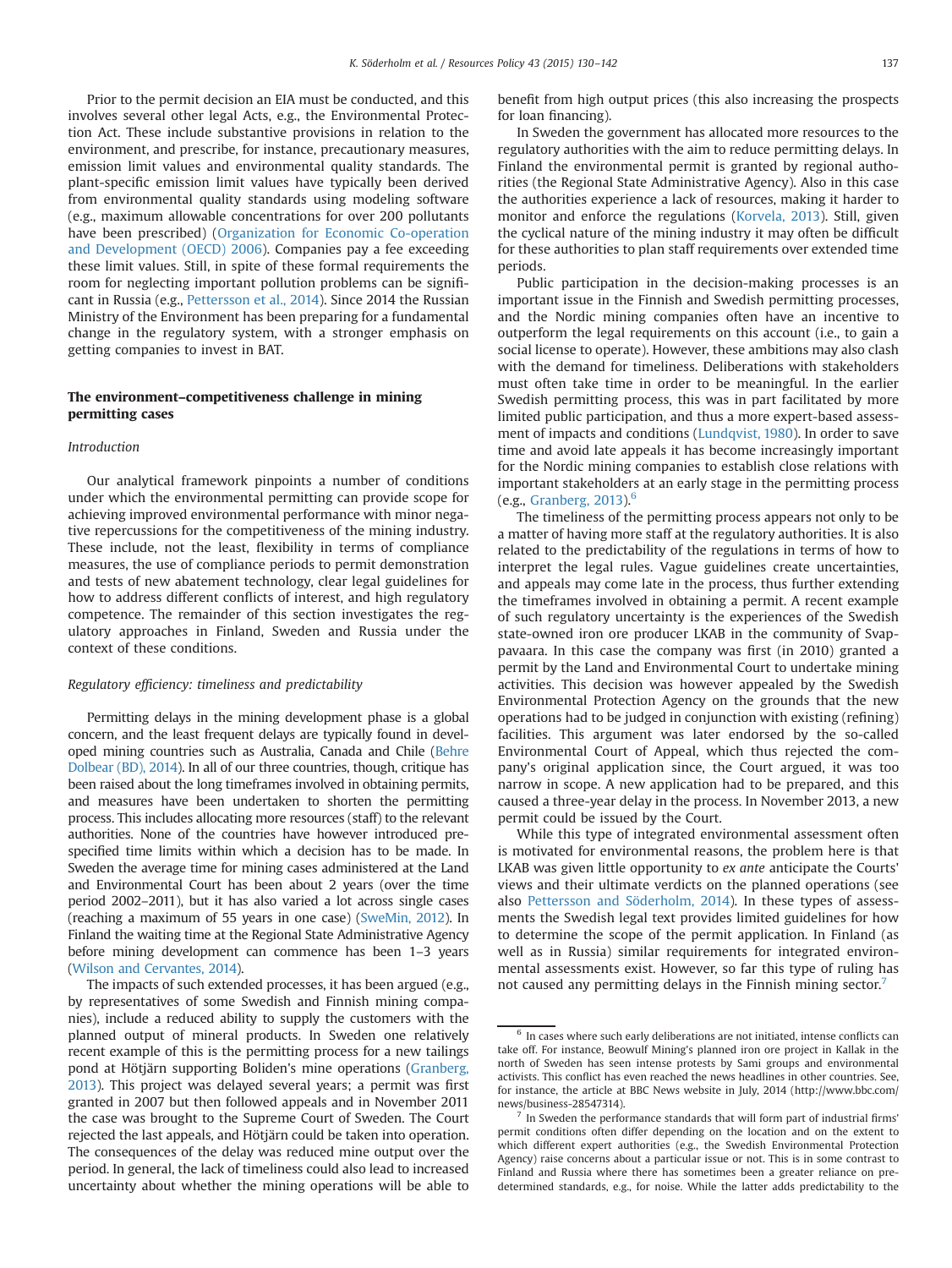Prior to the permit decision an EIA must be conducted, and this involves several other legal Acts, e.g., the Environmental Protection Act. These include substantive provisions in relation to the environment, and prescribe, for instance, precautionary measures, emission limit values and environmental quality standards. The plant-specific emission limit values have typically been derived from environmental quality standards using modeling software (e.g., maximum allowable concentrations for over 200 pollutants have been prescribed) [\(Organization for Economic Co-operation](#page-11-0) [and Development \(OECD\) 2006\)](#page-11-0). Companies pay a fee exceeding these limit values. Still, in spite of these formal requirements the room for neglecting important pollution problems can be significant in Russia (e.g., [Pettersson et al., 2014\)](#page-11-0). Since 2014 the Russian Ministry of the Environment has been preparing for a fundamental change in the regulatory system, with a stronger emphasis on getting companies to invest in BAT.

# The environment–competitiveness challenge in mining permitting cases

#### Introduction

Our analytical framework pinpoints a number of conditions under which the environmental permitting can provide scope for achieving improved environmental performance with minor negative repercussions for the competitiveness of the mining industry. These include, not the least, flexibility in terms of compliance measures, the use of compliance periods to permit demonstration and tests of new abatement technology, clear legal guidelines for how to address different conflicts of interest, and high regulatory competence. The remainder of this section investigates the regulatory approaches in Finland, Sweden and Russia under the context of these conditions.

#### Regulatory efficiency: timeliness and predictability

Permitting delays in the mining development phase is a global concern, and the least frequent delays are typically found in developed mining countries such as Australia, Canada and Chile [\(Behre](#page-11-0) [Dolbear \(BD\), 2014\)](#page-11-0). In all of our three countries, though, critique has been raised about the long timeframes involved in obtaining permits, and measures have been undertaken to shorten the permitting process. This includes allocating more resources (staff) to the relevant authorities. None of the countries have however introduced prespecified time limits within which a decision has to be made. In Sweden the average time for mining cases administered at the Land and Environmental Court has been about 2 years (over the time period 2002–2011), but it has also varied a lot across single cases (reaching a maximum of 55 years in one case) ([SweMin, 2012](#page-11-0)). In Finland the waiting time at the Regional State Administrative Agency before mining development can commence has been 1–3 years [\(Wilson and Cervantes, 2014](#page-11-0)).

The impacts of such extended processes, it has been argued (e.g., by representatives of some Swedish and Finnish mining companies), include a reduced ability to supply the customers with the planned output of mineral products. In Sweden one relatively recent example of this is the permitting process for a new tailings pond at Hötjärn supporting Boliden's mine operations [\(Granberg,](#page-11-0) [2013](#page-11-0)). This project was delayed several years; a permit was first granted in 2007 but then followed appeals and in November 2011 the case was brought to the Supreme Court of Sweden. The Court rejected the last appeals, and Hötjärn could be taken into operation. The consequences of the delay was reduced mine output over the period. In general, the lack of timeliness could also lead to increased uncertainty about whether the mining operations will be able to benefit from high output prices (this also increasing the prospects for loan financing).

In Sweden the government has allocated more resources to the regulatory authorities with the aim to reduce permitting delays. In Finland the environmental permit is granted by regional authorities (the Regional State Administrative Agency). Also in this case the authorities experience a lack of resources, making it harder to monitor and enforce the regulations ([Korvela, 2013](#page-11-0)). Still, given the cyclical nature of the mining industry it may often be difficult for these authorities to plan staff requirements over extended time periods.

Public participation in the decision-making processes is an important issue in the Finnish and Swedish permitting processes, and the Nordic mining companies often have an incentive to outperform the legal requirements on this account (i.e., to gain a social license to operate). However, these ambitions may also clash with the demand for timeliness. Deliberations with stakeholders must often take time in order to be meaningful. In the earlier Swedish permitting process, this was in part facilitated by more limited public participation, and thus a more expert-based assessment of impacts and conditions ([Lundqvist, 1980](#page-11-0)). In order to save time and avoid late appeals it has become increasingly important for the Nordic mining companies to establish close relations with important stakeholders at an early stage in the permitting process (e.g., [Granberg, 2013\)](#page-11-0).<sup>6</sup>

The timeliness of the permitting process appears not only to be a matter of having more staff at the regulatory authorities. It is also related to the predictability of the regulations in terms of how to interpret the legal rules. Vague guidelines create uncertainties, and appeals may come late in the process, thus further extending the timeframes involved in obtaining a permit. A recent example of such regulatory uncertainty is the experiences of the Swedish state-owned iron ore producer LKAB in the community of Svappavaara. In this case the company was first (in 2010) granted a permit by the Land and Environmental Court to undertake mining activities. This decision was however appealed by the Swedish Environmental Protection Agency on the grounds that the new operations had to be judged in conjunction with existing (refining) facilities. This argument was later endorsed by the so-called Environmental Court of Appeal, which thus rejected the company's original application since, the Court argued, it was too narrow in scope. A new application had to be prepared, and this caused a three-year delay in the process. In November 2013, a new permit could be issued by the Court.

While this type of integrated environmental assessment often is motivated for environmental reasons, the problem here is that LKAB was given little opportunity to ex ante anticipate the Courts' views and their ultimate verdicts on the planned operations (see also [Pettersson and Söderholm, 2014\)](#page-11-0). In these types of assessments the Swedish legal text provides limited guidelines for how to determine the scope of the permit application. In Finland (as well as in Russia) similar requirements for integrated environmental assessments exist. However, so far this type of ruling has not caused any permitting delays in the Finnish mining sector.<sup>7</sup>

 $6$  In cases where such early deliberations are not initiated, intense conflicts can take off. For instance, Beowulf Mining's planned iron ore project in Kallak in the north of Sweden has seen intense protests by Sami groups and environmental activists. This conflict has even reached the news headlines in other countries. See, for instance, the article at BBC News website in July, 2014 (http://www.bbc.com/ news/business-28547314).

In Sweden the performance standards that will form part of industrial firms' permit conditions often differ depending on the location and on the extent to which different expert authorities (e.g., the Swedish Environmental Protection Agency) raise concerns about a particular issue or not. This is in some contrast to Finland and Russia where there has sometimes been a greater reliance on predetermined standards, e.g., for noise. While the latter adds predictability to the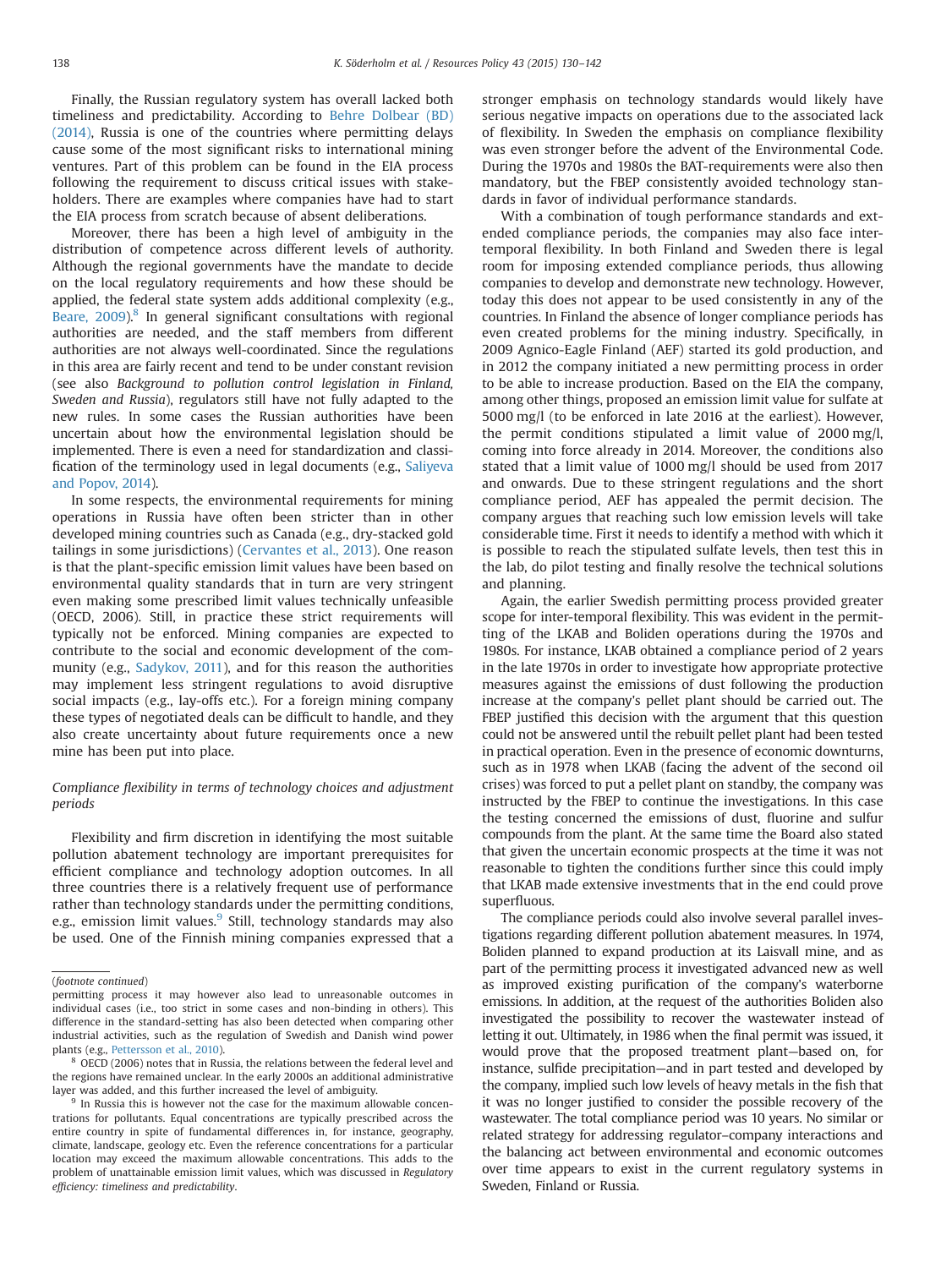Finally, the Russian regulatory system has overall lacked both timeliness and predictability. According to [Behre Dolbear \(BD\)](#page-11-0) [\(2014\),](#page-11-0) Russia is one of the countries where permitting delays cause some of the most significant risks to international mining ventures. Part of this problem can be found in the EIA process following the requirement to discuss critical issues with stakeholders. There are examples where companies have had to start the EIA process from scratch because of absent deliberations.

Moreover, there has been a high level of ambiguity in the distribution of competence across different levels of authority. Although the regional governments have the mandate to decide on the local regulatory requirements and how these should be applied, the federal state system adds additional complexity (e.g., [Beare, 2009\)](#page-11-0).<sup>8</sup> In general significant consultations with regional authorities are needed, and the staff members from different authorities are not always well-coordinated. Since the regulations in this area are fairly recent and tend to be under constant revision (see also Background to pollution control legislation in Finland, Sweden and Russia), regulators still have not fully adapted to the new rules. In some cases the Russian authorities have been uncertain about how the environmental legislation should be implemented. There is even a need for standardization and classification of the terminology used in legal documents (e.g., [Saliyeva](#page-11-0) [and Popov, 2014](#page-11-0)).

In some respects, the environmental requirements for mining operations in Russia have often been stricter than in other developed mining countries such as Canada (e.g., dry-stacked gold tailings in some jurisdictions) ([Cervantes et al., 2013](#page-11-0)). One reason is that the plant-specific emission limit values have been based on environmental quality standards that in turn are very stringent even making some prescribed limit values technically unfeasible (OECD, 2006). Still, in practice these strict requirements will typically not be enforced. Mining companies are expected to contribute to the social and economic development of the community (e.g., [Sadykov, 2011\)](#page-11-0), and for this reason the authorities may implement less stringent regulations to avoid disruptive social impacts (e.g., lay-offs etc.). For a foreign mining company these types of negotiated deals can be difficult to handle, and they also create uncertainty about future requirements once a new mine has been put into place.

# Compliance flexibility in terms of technology choices and adjustment periods

Flexibility and firm discretion in identifying the most suitable pollution abatement technology are important prerequisites for efficient compliance and technology adoption outcomes. In all three countries there is a relatively frequent use of performance rather than technology standards under the permitting conditions, e.g., emission limit values.<sup>9</sup> Still, technology standards may also be used. One of the Finnish mining companies expressed that a stronger emphasis on technology standards would likely have serious negative impacts on operations due to the associated lack of flexibility. In Sweden the emphasis on compliance flexibility was even stronger before the advent of the Environmental Code. During the 1970s and 1980s the BAT-requirements were also then mandatory, but the FBEP consistently avoided technology standards in favor of individual performance standards.

With a combination of tough performance standards and extended compliance periods, the companies may also face intertemporal flexibility. In both Finland and Sweden there is legal room for imposing extended compliance periods, thus allowing companies to develop and demonstrate new technology. However, today this does not appear to be used consistently in any of the countries. In Finland the absence of longer compliance periods has even created problems for the mining industry. Specifically, in 2009 Agnico-Eagle Finland (AEF) started its gold production, and in 2012 the company initiated a new permitting process in order to be able to increase production. Based on the EIA the company, among other things, proposed an emission limit value for sulfate at 5000 mg/l (to be enforced in late 2016 at the earliest). However, the permit conditions stipulated a limit value of 2000 mg/l, coming into force already in 2014. Moreover, the conditions also stated that a limit value of 1000 mg/l should be used from 2017 and onwards. Due to these stringent regulations and the short compliance period, AEF has appealed the permit decision. The company argues that reaching such low emission levels will take considerable time. First it needs to identify a method with which it is possible to reach the stipulated sulfate levels, then test this in the lab, do pilot testing and finally resolve the technical solutions and planning.

Again, the earlier Swedish permitting process provided greater scope for inter-temporal flexibility. This was evident in the permitting of the LKAB and Boliden operations during the 1970s and 1980s. For instance, LKAB obtained a compliance period of 2 years in the late 1970s in order to investigate how appropriate protective measures against the emissions of dust following the production increase at the company's pellet plant should be carried out. The FBEP justified this decision with the argument that this question could not be answered until the rebuilt pellet plant had been tested in practical operation. Even in the presence of economic downturns, such as in 1978 when LKAB (facing the advent of the second oil crises) was forced to put a pellet plant on standby, the company was instructed by the FBEP to continue the investigations. In this case the testing concerned the emissions of dust, fluorine and sulfur compounds from the plant. At the same time the Board also stated that given the uncertain economic prospects at the time it was not reasonable to tighten the conditions further since this could imply that LKAB made extensive investments that in the end could prove superfluous.

The compliance periods could also involve several parallel investigations regarding different pollution abatement measures. In 1974, Boliden planned to expand production at its Laisvall mine, and as part of the permitting process it investigated advanced new as well as improved existing purification of the company's waterborne emissions. In addition, at the request of the authorities Boliden also investigated the possibility to recover the wastewater instead of letting it out. Ultimately, in 1986 when the final permit was issued, it would prove that the proposed treatment plant—based on, for instance, sulfide precipitation—and in part tested and developed by the company, implied such low levels of heavy metals in the fish that it was no longer justified to consider the possible recovery of the wastewater. The total compliance period was 10 years. No similar or related strategy for addressing regulator–company interactions and the balancing act between environmental and economic outcomes over time appears to exist in the current regulatory systems in Sweden, Finland or Russia.

<sup>(</sup>footnote continued)

permitting process it may however also lead to unreasonable outcomes in individual cases (i.e., too strict in some cases and non-binding in others). This difference in the standard-setting has also been detected when comparing other industrial activities, such as the regulation of Swedish and Danish wind power plants (e.g., [Pettersson et al., 2010\)](#page-11-0).

<sup>8</sup> OECD (2006) notes that in Russia, the relations between the federal level and the regions have remained unclear. In the early 2000s an additional administrative layer was added, and this further increased the level of ambiguity.

<sup>&</sup>lt;sup>9</sup> In Russia this is however not the case for the maximum allowable concentrations for pollutants. Equal concentrations are typically prescribed across the entire country in spite of fundamental differences in, for instance, geography, climate, landscape, geology etc. Even the reference concentrations for a particular location may exceed the maximum allowable concentrations. This adds to the problem of unattainable emission limit values, which was discussed in Regulatory efficiency: timeliness and predictability.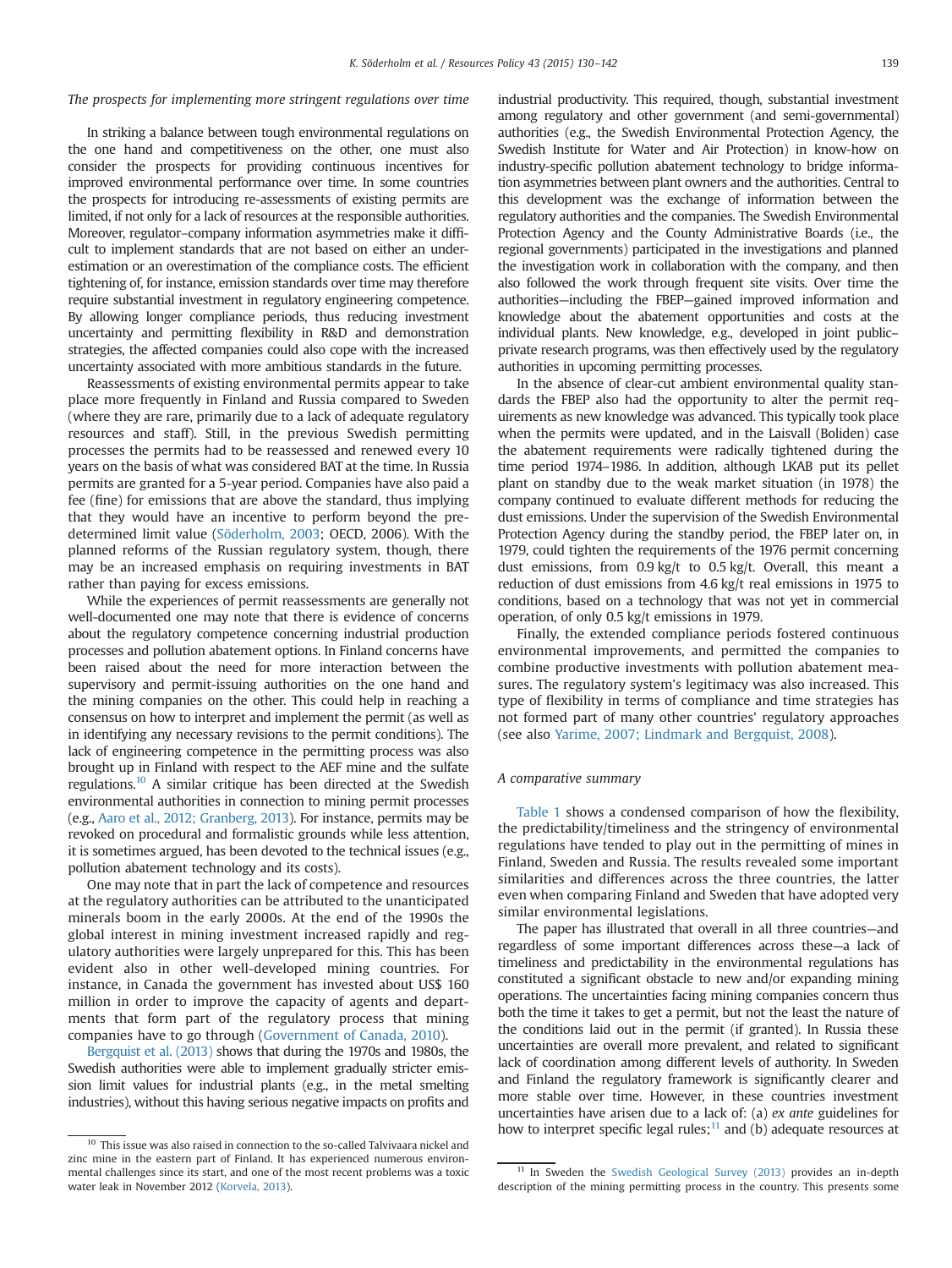# The prospects for implementing more stringent regulations over time

In striking a balance between tough environmental regulations on the one hand and competitiveness on the other, one must also consider the prospects for providing continuous incentives for improved environmental performance over time. In some countries the prospects for introducing re-assessments of existing permits are limited, if not only for a lack of resources at the responsible authorities. Moreover, regulator–company information asymmetries make it difficult to implement standards that are not based on either an underestimation or an overestimation of the compliance costs. The efficient tightening of, for instance, emission standards over time may therefore require substantial investment in regulatory engineering competence. By allowing longer compliance periods, thus reducing investment uncertainty and permitting flexibility in R&D and demonstration strategies, the affected companies could also cope with the increased uncertainty associated with more ambitious standards in the future.

Reassessments of existing environmental permits appear to take place more frequently in Finland and Russia compared to Sweden (where they are rare, primarily due to a lack of adequate regulatory resources and staff). Still, in the previous Swedish permitting processes the permits had to be reassessed and renewed every 10 years on the basis of what was considered BAT at the time. In Russia permits are granted for a 5-year period. Companies have also paid a fee (fine) for emissions that are above the standard, thus implying that they would have an incentive to perform beyond the predetermined limit value ([Söderholm, 2003](#page-11-0); OECD, 2006). With the planned reforms of the Russian regulatory system, though, there may be an increased emphasis on requiring investments in BAT rather than paying for excess emissions.

While the experiences of permit reassessments are generally not well-documented one may note that there is evidence of concerns about the regulatory competence concerning industrial production processes and pollution abatement options. In Finland concerns have been raised about the need for more interaction between the supervisory and permit-issuing authorities on the one hand and the mining companies on the other. This could help in reaching a consensus on how to interpret and implement the permit (as well as in identifying any necessary revisions to the permit conditions). The lack of engineering competence in the permitting process was also brought up in Finland with respect to the AEF mine and the sulfate regulations.10 A similar critique has been directed at the Swedish environmental authorities in connection to mining permit processes (e.g., [Aaro et al., 2012; Granberg, 2013\)](#page-11-0). For instance, permits may be revoked on procedural and formalistic grounds while less attention, it is sometimes argued, has been devoted to the technical issues (e.g., pollution abatement technology and its costs).

One may note that in part the lack of competence and resources at the regulatory authorities can be attributed to the unanticipated minerals boom in the early 2000s. At the end of the 1990s the global interest in mining investment increased rapidly and regulatory authorities were largely unprepared for this. This has been evident also in other well-developed mining countries. For instance, in Canada the government has invested about US\$ 160 million in order to improve the capacity of agents and departments that form part of the regulatory process that mining companies have to go through ([Government of Canada, 2010\)](#page-11-0).

[Bergquist et al. \(2013\)](#page-11-0) shows that during the 1970s and 1980s, the Swedish authorities were able to implement gradually stricter emission limit values for industrial plants (e.g., in the metal smelting industries), without this having serious negative impacts on profits and industrial productivity. This required, though, substantial investment among regulatory and other government (and semi-governmental) authorities (e.g., the Swedish Environmental Protection Agency, the Swedish Institute for Water and Air Protection) in know-how on industry-specific pollution abatement technology to bridge information asymmetries between plant owners and the authorities. Central to this development was the exchange of information between the regulatory authorities and the companies. The Swedish Environmental Protection Agency and the County Administrative Boards (i.e., the regional governments) participated in the investigations and planned the investigation work in collaboration with the company, and then also followed the work through frequent site visits. Over time the authorities—including the FBEP—gained improved information and knowledge about the abatement opportunities and costs at the individual plants. New knowledge, e.g., developed in joint public– private research programs, was then effectively used by the regulatory authorities in upcoming permitting processes.

In the absence of clear-cut ambient environmental quality standards the FBEP also had the opportunity to alter the permit requirements as new knowledge was advanced. This typically took place when the permits were updated, and in the Laisvall (Boliden) case the abatement requirements were radically tightened during the time period 1974–1986. In addition, although LKAB put its pellet plant on standby due to the weak market situation (in 1978) the company continued to evaluate different methods for reducing the dust emissions. Under the supervision of the Swedish Environmental Protection Agency during the standby period, the FBEP later on, in 1979, could tighten the requirements of the 1976 permit concerning dust emissions, from 0.9 kg/t to 0.5 kg/t. Overall, this meant a reduction of dust emissions from 4.6 kg/t real emissions in 1975 to conditions, based on a technology that was not yet in commercial operation, of only 0.5 kg/t emissions in 1979.

Finally, the extended compliance periods fostered continuous environmental improvements, and permitted the companies to combine productive investments with pollution abatement measures. The regulatory system's legitimacy was also increased. This type of flexibility in terms of compliance and time strategies has not formed part of many other countries' regulatory approaches (see also [Yarime, 2007; Lindmark and Bergquist, 2008\)](#page-11-0).

#### A comparative summary

[Table 1](#page-10-0) shows a condensed comparison of how the flexibility, the predictability/timeliness and the stringency of environmental regulations have tended to play out in the permitting of mines in Finland, Sweden and Russia. The results revealed some important similarities and differences across the three countries, the latter even when comparing Finland and Sweden that have adopted very similar environmental legislations.

The paper has illustrated that overall in all three countries—and regardless of some important differences across these—a lack of timeliness and predictability in the environmental regulations has constituted a significant obstacle to new and/or expanding mining operations. The uncertainties facing mining companies concern thus both the time it takes to get a permit, but not the least the nature of the conditions laid out in the permit (if granted). In Russia these uncertainties are overall more prevalent, and related to significant lack of coordination among different levels of authority. In Sweden and Finland the regulatory framework is significantly clearer and more stable over time. However, in these countries investment uncertainties have arisen due to a lack of: (a) ex ante guidelines for how to interpret specific legal rules; $<sup>11</sup>$  and (b) adequate resources at</sup>

<sup>&</sup>lt;sup>10</sup> This issue was also raised in connection to the so-called Talvivaara nickel and zinc mine in the eastern part of Finland. It has experienced numerous environmental challenges since its start, and one of the most recent problems was a toxic water leak in November 2012 ([Korvela, 2013](#page-11-0)).

<sup>&</sup>lt;sup>11</sup> In Sweden the [Swedish Geological Survey \(2013\)](#page-11-0) provides an in-depth description of the mining permitting process in the country. This presents some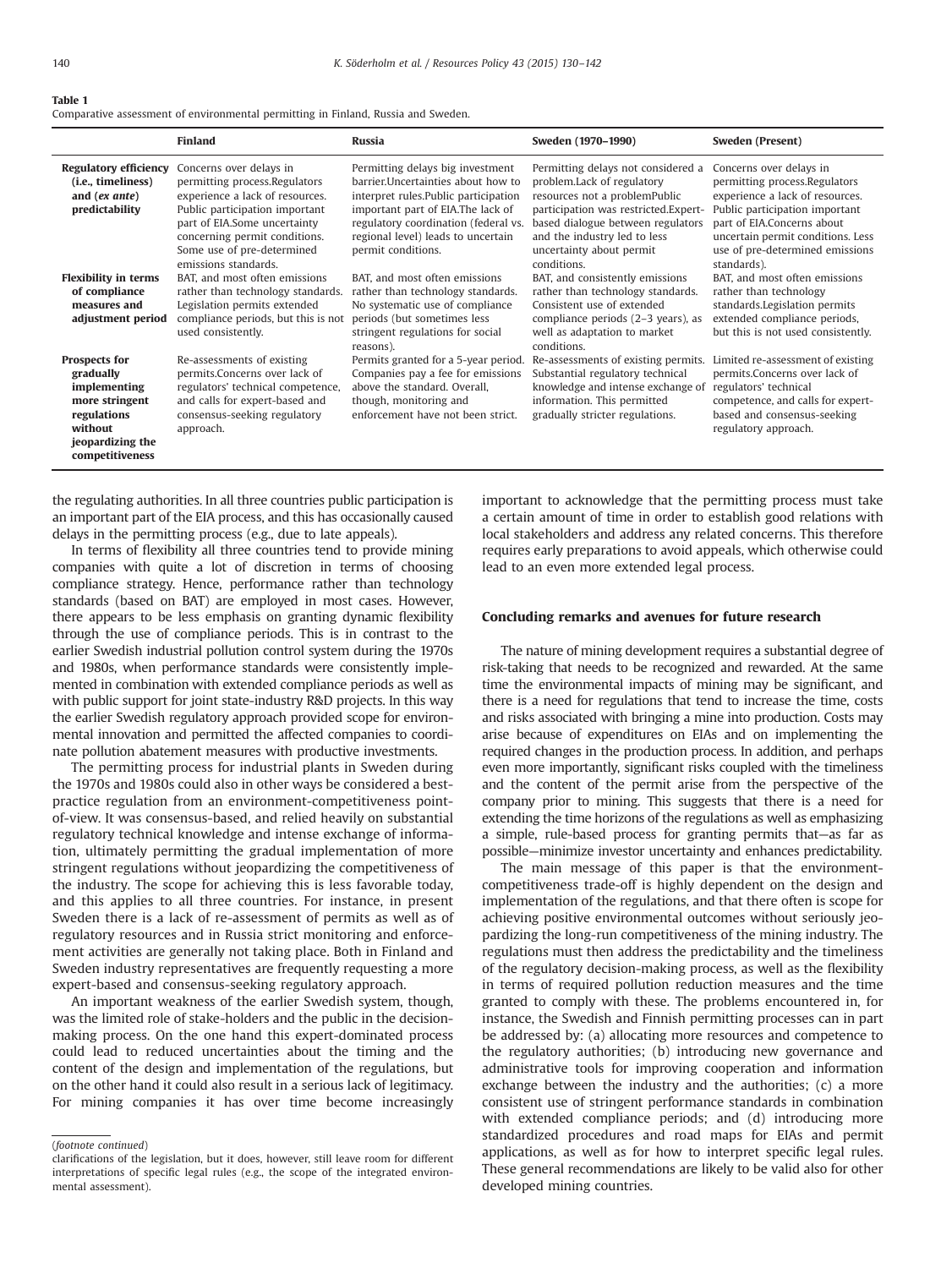#### <span id="page-10-0"></span>Table 1

Comparative assessment of environmental permitting in Finland, Russia and Sweden.

|                                                                                                                                      | <b>Finland</b>                                                                                                                                                                                                                                       | <b>Russia</b>                                                                                                                                                                                                                                             | Sweden (1970-1990)                                                                                                                                                                                                                                        | Sweden (Present)                                                                                                                                                                                                                                   |
|--------------------------------------------------------------------------------------------------------------------------------------|------------------------------------------------------------------------------------------------------------------------------------------------------------------------------------------------------------------------------------------------------|-----------------------------------------------------------------------------------------------------------------------------------------------------------------------------------------------------------------------------------------------------------|-----------------------------------------------------------------------------------------------------------------------------------------------------------------------------------------------------------------------------------------------------------|----------------------------------------------------------------------------------------------------------------------------------------------------------------------------------------------------------------------------------------------------|
| <b>Regulatory efficiency</b><br>(i.e., timeliness)<br>and (ex ante)<br>predictability                                                | Concerns over delays in<br>permitting process.Regulators<br>experience a lack of resources.<br>Public participation important<br>part of EIA.Some uncertainty<br>concerning permit conditions.<br>Some use of pre-determined<br>emissions standards. | Permitting delays big investment<br>barrier. Uncertainties about how to<br>interpret rules.Public participation<br>important part of EIA. The lack of<br>regulatory coordination (federal vs.<br>regional level) leads to uncertain<br>permit conditions. | Permitting delays not considered a<br>problem.Lack of regulatory<br>resources not a problemPublic<br>participation was restricted.Expert-<br>based dialogue between regulators<br>and the industry led to less<br>uncertainty about permit<br>conditions. | Concerns over delays in<br>permitting process.Regulators<br>experience a lack of resources.<br>Public participation important<br>part of EIA.Concerns about<br>uncertain permit conditions. Less<br>use of pre-determined emissions<br>standards). |
| <b>Flexibility in terms</b><br>of compliance<br>measures and<br>adjustment period                                                    | BAT, and most often emissions<br>rather than technology standards.<br>Legislation permits extended<br>compliance periods, but this is not<br>used consistently.                                                                                      | BAT, and most often emissions<br>rather than technology standards.<br>No systematic use of compliance<br>periods (but sometimes less<br>stringent regulations for social<br>reasons).                                                                     | BAT, and consistently emissions<br>rather than technology standards.<br>Consistent use of extended<br>compliance periods (2–3 years), as<br>well as adaptation to market<br>conditions.                                                                   | BAT, and most often emissions<br>rather than technology<br>standards.Legislation permits<br>extended compliance periods,<br>but this is not used consistently.                                                                                     |
| <b>Prospects for</b><br>gradually<br>implementing<br>more stringent<br>regulations<br>without<br>jeopardizing the<br>competitiveness | Re-assessments of existing<br>permits.Concerns over lack of<br>regulators' technical competence,<br>and calls for expert-based and<br>consensus-seeking regulatory<br>approach.                                                                      | Permits granted for a 5-year period.<br>Companies pay a fee for emissions<br>above the standard. Overall,<br>though, monitoring and<br>enforcement have not been strict.                                                                                  | Re-assessments of existing permits.<br>Substantial regulatory technical<br>knowledge and intense exchange of<br>information. This permitted<br>gradually stricter regulations.                                                                            | Limited re-assessment of existing<br>permits.Concerns over lack of<br>regulators' technical<br>competence, and calls for expert-<br>based and consensus-seeking<br>regulatory approach.                                                            |

the regulating authorities. In all three countries public participation is an important part of the EIA process, and this has occasionally caused delays in the permitting process (e.g., due to late appeals).

In terms of flexibility all three countries tend to provide mining companies with quite a lot of discretion in terms of choosing compliance strategy. Hence, performance rather than technology standards (based on BAT) are employed in most cases. However, there appears to be less emphasis on granting dynamic flexibility through the use of compliance periods. This is in contrast to the earlier Swedish industrial pollution control system during the 1970s and 1980s, when performance standards were consistently implemented in combination with extended compliance periods as well as with public support for joint state-industry R&D projects. In this way the earlier Swedish regulatory approach provided scope for environmental innovation and permitted the affected companies to coordinate pollution abatement measures with productive investments.

The permitting process for industrial plants in Sweden during the 1970s and 1980s could also in other ways be considered a bestpractice regulation from an environment-competitiveness pointof-view. It was consensus-based, and relied heavily on substantial regulatory technical knowledge and intense exchange of information, ultimately permitting the gradual implementation of more stringent regulations without jeopardizing the competitiveness of the industry. The scope for achieving this is less favorable today, and this applies to all three countries. For instance, in present Sweden there is a lack of re-assessment of permits as well as of regulatory resources and in Russia strict monitoring and enforcement activities are generally not taking place. Both in Finland and Sweden industry representatives are frequently requesting a more expert-based and consensus-seeking regulatory approach.

An important weakness of the earlier Swedish system, though, was the limited role of stake-holders and the public in the decisionmaking process. On the one hand this expert-dominated process could lead to reduced uncertainties about the timing and the content of the design and implementation of the regulations, but on the other hand it could also result in a serious lack of legitimacy. For mining companies it has over time become increasingly

(footnote continued)

important to acknowledge that the permitting process must take a certain amount of time in order to establish good relations with local stakeholders and address any related concerns. This therefore requires early preparations to avoid appeals, which otherwise could lead to an even more extended legal process.

#### Concluding remarks and avenues for future research

The nature of mining development requires a substantial degree of risk-taking that needs to be recognized and rewarded. At the same time the environmental impacts of mining may be significant, and there is a need for regulations that tend to increase the time, costs and risks associated with bringing a mine into production. Costs may arise because of expenditures on EIAs and on implementing the required changes in the production process. In addition, and perhaps even more importantly, significant risks coupled with the timeliness and the content of the permit arise from the perspective of the company prior to mining. This suggests that there is a need for extending the time horizons of the regulations as well as emphasizing a simple, rule-based process for granting permits that—as far as possible—minimize investor uncertainty and enhances predictability.

The main message of this paper is that the environmentcompetitiveness trade-off is highly dependent on the design and implementation of the regulations, and that there often is scope for achieving positive environmental outcomes without seriously jeopardizing the long-run competitiveness of the mining industry. The regulations must then address the predictability and the timeliness of the regulatory decision-making process, as well as the flexibility in terms of required pollution reduction measures and the time granted to comply with these. The problems encountered in, for instance, the Swedish and Finnish permitting processes can in part be addressed by: (a) allocating more resources and competence to the regulatory authorities; (b) introducing new governance and administrative tools for improving cooperation and information exchange between the industry and the authorities; (c) a more consistent use of stringent performance standards in combination with extended compliance periods; and (d) introducing more standardized procedures and road maps for EIAs and permit applications, as well as for how to interpret specific legal rules. These general recommendations are likely to be valid also for other developed mining countries.

clarifications of the legislation, but it does, however, still leave room for different interpretations of specific legal rules (e.g., the scope of the integrated environmental assessment).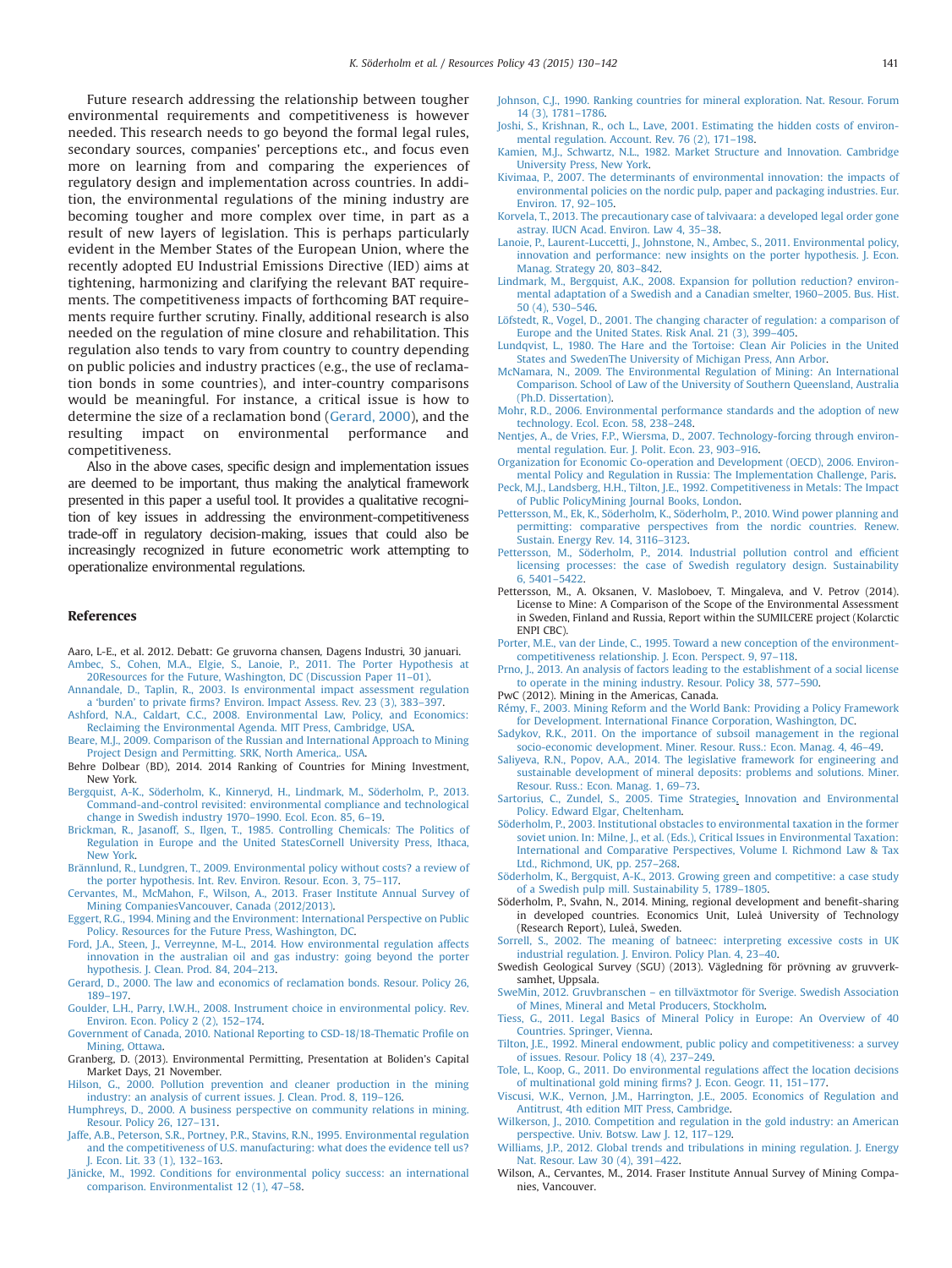<span id="page-11-0"></span>Future research addressing the relationship between tougher environmental requirements and competitiveness is however needed. This research needs to go beyond the formal legal rules, secondary sources, companies' perceptions etc., and focus even more on learning from and comparing the experiences of regulatory design and implementation across countries. In addition, the environmental regulations of the mining industry are becoming tougher and more complex over time, in part as a result of new layers of legislation. This is perhaps particularly evident in the Member States of the European Union, where the recently adopted EU Industrial Emissions Directive (IED) aims at tightening, harmonizing and clarifying the relevant BAT requirements. The competitiveness impacts of forthcoming BAT requirements require further scrutiny. Finally, additional research is also needed on the regulation of mine closure and rehabilitation. This regulation also tends to vary from country to country depending on public policies and industry practices (e.g., the use of reclamation bonds in some countries), and inter-country comparisons would be meaningful. For instance, a critical issue is how to determine the size of a reclamation bond (Gerard, 2000), and the resulting impact on environmental performance and competitiveness.

Also in the above cases, specific design and implementation issues are deemed to be important, thus making the analytical framework presented in this paper a useful tool. It provides a qualitative recognition of key issues in addressing the environment-competitiveness trade-off in regulatory decision-making, issues that could also be increasingly recognized in future econometric work attempting to operationalize environmental regulations.

#### References

- Aaro, L-E., et al. 2012. Debatt: Ge gruvorna chansen, Dagens Industri, 30 januari. [Ambec, S., Cohen, M.A., Elgie, S., Lanoie, P., 2011. The Porter Hypothesis at](http://refhub.elsevier.com/S0301-4207(14)00095-6/sbref2)
- [20Resources for the Future, Washington, DC \(Discussion Paper 11](http://refhub.elsevier.com/S0301-4207(14)00095-6/sbref2)–01).
- [Annandale, D., Taplin, R., 2003. Is environmental impact assessment regulation](http://refhub.elsevier.com/S0301-4207(14)00095-6/sbref3) a 'burden' to private fi[rms? Environ. Impact Assess. Rev. 23 \(3\), 383](http://refhub.elsevier.com/S0301-4207(14)00095-6/sbref3)–397.
- [Ashford, N.A., Caldart, C.C., 2008. Environmental Law, Policy, and Economics:](http://refhub.elsevier.com/S0301-4207(14)00095-6/sbref4) [Reclaiming the Environmental Agenda. MIT Press, Cambridge, USA.](http://refhub.elsevier.com/S0301-4207(14)00095-6/sbref4)
- [Beare, M.J., 2009. Comparison of the Russian and International Approach to Mining](http://refhub.elsevier.com/S0301-4207(14)00095-6/sbref5) [Project Design and Permitting. SRK, North America,. USA.](http://refhub.elsevier.com/S0301-4207(14)00095-6/sbref5)
- Behre Dolbear (BD), 2014. 2014 Ranking of Countries for Mining Investment, New York.
- [Bergquist, A-K., Söderholm, K., Kinneryd, H., Lindmark, M., Söderholm, P., 2013.](http://refhub.elsevier.com/S0301-4207(14)00095-6/sbref7) [Command-and-control revisited: environmental compliance and technological](http://refhub.elsevier.com/S0301-4207(14)00095-6/sbref7) [change in Swedish industry 1970](http://refhub.elsevier.com/S0301-4207(14)00095-6/sbref7)–1990. Ecol. Econ. 85, 6–19.
- [Brickman, R., Jasanoff, S., Ilgen, T., 1985. Controlling Chemicals](http://refhub.elsevier.com/S0301-4207(14)00095-6/sbref8): The Politics of [Regulation in Europe and the United StatesCornell University Press, Ithaca,](http://refhub.elsevier.com/S0301-4207(14)00095-6/sbref8) [New York.](http://refhub.elsevier.com/S0301-4207(14)00095-6/sbref8)
- [Brännlund, R., Lundgren, T., 2009. Environmental policy without costs? a review of](http://refhub.elsevier.com/S0301-4207(14)00095-6/sbref9) [the porter hypothesis. Int. Rev. Environ. Resour. Econ. 3, 75](http://refhub.elsevier.com/S0301-4207(14)00095-6/sbref9)–117.
- [Cervantes, M., McMahon, F., Wilson, A., 2013. Fraser Institute Annual Survey of](http://refhub.elsevier.com/S0301-4207(14)00095-6/sbref10) [Mining CompaniesVancouver, Canada \(2012/2013\).](http://refhub.elsevier.com/S0301-4207(14)00095-6/sbref10)
- [Eggert, R.G., 1994. Mining and the Environment: International Perspective on Public](http://refhub.elsevier.com/S0301-4207(14)00095-6/sbref11) [Policy. Resources for the Future Press, Washington, DC.](http://refhub.elsevier.com/S0301-4207(14)00095-6/sbref11)
- [Ford, J.A., Steen, J., Verreynne, M-L., 2014. How environmental regulation affects](http://refhub.elsevier.com/S0301-4207(14)00095-6/sbref12) [innovation in the australian oil and gas industry: going beyond the porter](http://refhub.elsevier.com/S0301-4207(14)00095-6/sbref12) [hypothesis. J. Clean. Prod. 84, 204](http://refhub.elsevier.com/S0301-4207(14)00095-6/sbref12)–213.
- [Gerard, D., 2000. The law and economics of reclamation bonds. Resour. Policy 26,](http://refhub.elsevier.com/S0301-4207(14)00095-6/sbref13) 189–[197.](http://refhub.elsevier.com/S0301-4207(14)00095-6/sbref13)
- [Goulder, L.H., Parry, I.W.H., 2008. Instrument choice in environmental policy. Rev.](http://refhub.elsevier.com/S0301-4207(14)00095-6/sbref14) [Environ. Econ. Policy 2 \(2\), 152](http://refhub.elsevier.com/S0301-4207(14)00095-6/sbref14)–174.
- [Government of Canada, 2010. National Reporting to CSD-18/18-Thematic Pro](http://refhub.elsevier.com/S0301-4207(14)00095-6/sbref15)file on [Mining, Ottawa.](http://refhub.elsevier.com/S0301-4207(14)00095-6/sbref15)
- Granberg, D. (2013). Environmental Permitting, Presentation at Boliden's Capital Market Days, 21 November.
- [Hilson, G., 2000. Pollution prevention and cleaner production in the mining](http://refhub.elsevier.com/S0301-4207(14)00095-6/sbref16) [industry: an analysis of current issues. J. Clean. Prod. 8, 119](http://refhub.elsevier.com/S0301-4207(14)00095-6/sbref16)–126.
- [Humphreys, D., 2000. A business perspective on community relations in mining.](http://refhub.elsevier.com/S0301-4207(14)00095-6/sbref17) [Resour. Policy 26, 127](http://refhub.elsevier.com/S0301-4207(14)00095-6/sbref17)–131.
- [Jaffe, A.B., Peterson, S.R., Portney, P.R., Stavins, R.N., 1995. Environmental regulation](http://refhub.elsevier.com/S0301-4207(14)00095-6/sbref18) [and the competitiveness of U.S. manufacturing: what does the evidence tell us?](http://refhub.elsevier.com/S0301-4207(14)00095-6/sbref18) [J. Econ. Lit. 33 \(1\), 132](http://refhub.elsevier.com/S0301-4207(14)00095-6/sbref18)–163.
- [Jänicke, M., 1992. Conditions for environmental policy success: an international](http://refhub.elsevier.com/S0301-4207(14)00095-6/sbref19) [comparison. Environmentalist 12 \(1\), 47](http://refhub.elsevier.com/S0301-4207(14)00095-6/sbref19)–58.
- [Johnson, C.J., 1990. Ranking countries for mineral exploration. Nat. Resour. Forum](http://refhub.elsevier.com/S0301-4207(14)00095-6/sbref20) [14 \(3\), 1781](http://refhub.elsevier.com/S0301-4207(14)00095-6/sbref20)–1786.
- [Joshi, S., Krishnan, R., och L., Lave, 2001. Estimating the hidden costs of environ](http://refhub.elsevier.com/S0301-4207(14)00095-6/sbref21)[mental regulation. Account. Rev. 76 \(2\), 171](http://refhub.elsevier.com/S0301-4207(14)00095-6/sbref21)–198.
- [Kamien, M.J., Schwartz, N.L., 1982. Market Structure and Innovation. Cambridge](http://refhub.elsevier.com/S0301-4207(14)00095-6/sbref22) [University Press, New York.](http://refhub.elsevier.com/S0301-4207(14)00095-6/sbref22)
- [Kivimaa, P., 2007. The determinants of environmental innovation: the impacts of](http://refhub.elsevier.com/S0301-4207(14)00095-6/sbref23) [environmental policies on the nordic pulp, paper and packaging industries. Eur.](http://refhub.elsevier.com/S0301-4207(14)00095-6/sbref23) [Environ. 17, 92](http://refhub.elsevier.com/S0301-4207(14)00095-6/sbref23)–105.
- [Korvela, T., 2013. The precautionary case of talvivaara: a developed legal order gone](http://refhub.elsevier.com/S0301-4207(14)00095-6/sbref24) [astray. IUCN Acad. Environ. Law 4, 35](http://refhub.elsevier.com/S0301-4207(14)00095-6/sbref24)–38.
- [Lanoie, P., Laurent-Luccetti, J., Johnstone, N., Ambec, S., 2011. Environmental policy,](http://refhub.elsevier.com/S0301-4207(14)00095-6/sbref25) innovation and performance: new insights on the porter hypothesis. I. Econ. [Manag. Strategy 20, 803](http://refhub.elsevier.com/S0301-4207(14)00095-6/sbref25)–842.
- [Lindmark, M., Bergquist, A.K., 2008. Expansion for pollution reduction? environ](http://refhub.elsevier.com/S0301-4207(14)00095-6/sbref26)[mental adaptation of a Swedish and a Canadian smelter, 1960](http://refhub.elsevier.com/S0301-4207(14)00095-6/sbref26)–2005. Bus. Hist. [50 \(4\), 530](http://refhub.elsevier.com/S0301-4207(14)00095-6/sbref26)–546.
- [Löfstedt, R., Vogel, D., 2001. The changing character of regulation: a comparison of](http://refhub.elsevier.com/S0301-4207(14)00095-6/sbref27) [Europe and the United States. Risk Anal. 21 \(3\), 399](http://refhub.elsevier.com/S0301-4207(14)00095-6/sbref27)–405.
- [Lundqvist, L., 1980. The Hare and the Tortoise: Clean Air Policies in the United](http://refhub.elsevier.com/S0301-4207(14)00095-6/sbref28) [States and SwedenThe University of Michigan Press, Ann Arbor.](http://refhub.elsevier.com/S0301-4207(14)00095-6/sbref28)
- [McNamara, N., 2009. The Environmental Regulation of Mining: An International](http://refhub.elsevier.com/S0301-4207(14)00095-6/sbref29) [Comparison. School of Law of the University of Southern Queensland, Australia](http://refhub.elsevier.com/S0301-4207(14)00095-6/sbref29) [\(Ph.D. Dissertation\).](http://refhub.elsevier.com/S0301-4207(14)00095-6/sbref29)
- [Mohr, R.D., 2006. Environmental performance standards and the adoption of new](http://refhub.elsevier.com/S0301-4207(14)00095-6/sbref30) [technology. Ecol. Econ. 58, 238](http://refhub.elsevier.com/S0301-4207(14)00095-6/sbref30)–248.
- [Nentjes, A., de Vries, F.P., Wiersma, D., 2007. Technology-forcing through environ](http://refhub.elsevier.com/S0301-4207(14)00095-6/sbref31)[mental regulation. Eur. J. Polit. Econ. 23, 903](http://refhub.elsevier.com/S0301-4207(14)00095-6/sbref31)–916.
- [Organization for Economic Co-operation and Development \(OECD\), 2006. Environ](http://refhub.elsevier.com/S0301-4207(14)00095-6/sbref32)[mental Policy and Regulation in Russia: The Implementation Challenge, Paris.](http://refhub.elsevier.com/S0301-4207(14)00095-6/sbref32)
- [Peck, M.J., Landsberg, H.H., Tilton, J.E., 1992. Competitiveness in Metals: The Impact](http://refhub.elsevier.com/S0301-4207(14)00095-6/sbref33) [of Public PolicyMining Journal Books, London.](http://refhub.elsevier.com/S0301-4207(14)00095-6/sbref33)
- [Pettersson, M., Ek, K., Söderholm, K., Söderholm, P., 2010. Wind power planning and](http://refhub.elsevier.com/S0301-4207(14)00095-6/sbref34) [permitting: comparative perspectives from the nordic countries. Renew.](http://refhub.elsevier.com/S0301-4207(14)00095-6/sbref34) [Sustain. Energy Rev. 14, 3116](http://refhub.elsevier.com/S0301-4207(14)00095-6/sbref34)–3123.
- [Pettersson, M., Söderholm, P., 2014. Industrial pollution control and ef](http://refhub.elsevier.com/S0301-4207(14)00095-6/sbref35)ficient [licensing processes: the case of Swedish regulatory design. Sustainability](http://refhub.elsevier.com/S0301-4207(14)00095-6/sbref35) [6, 5401](http://refhub.elsevier.com/S0301-4207(14)00095-6/sbref35)–5422.
- Pettersson, M., A. Oksanen, V. Masloboev, T. Mingaleva, and V. Petrov (2014). License to Mine: A Comparison of the Scope of the Environmental Assessment in Sweden, Finland and Russia, Report within the SUMILCERE project (Kolarctic ENPI CBC).
- [Porter, M.E., van der Linde, C., 1995. Toward a new conception of the environment](http://refhub.elsevier.com/S0301-4207(14)00095-6/sbref36)[competitiveness relationship. J. Econ. Perspect. 9, 97](http://refhub.elsevier.com/S0301-4207(14)00095-6/sbref36)–118.
- [Prno, J., 2013. An analysis of factors leading to the establishment of a social license](http://refhub.elsevier.com/S0301-4207(14)00095-6/sbref37) [to operate in the mining industry. Resour. Policy 38, 577](http://refhub.elsevier.com/S0301-4207(14)00095-6/sbref37)–590.
- PwC (2012). Mining in the Americas, Canada.
- [Rémy, F., 2003. Mining Reform and the World Bank: Providing a Policy Framework](http://refhub.elsevier.com/S0301-4207(14)00095-6/sbref38) [for Development. International Finance Corporation, Washington, DC.](http://refhub.elsevier.com/S0301-4207(14)00095-6/sbref38)
- [Sadykov, R.K., 2011. On the importance of subsoil management in the regional](http://refhub.elsevier.com/S0301-4207(14)00095-6/sbref40) [socio-economic development. Miner. Resour. Russ.: Econ. Manag. 4, 46](http://refhub.elsevier.com/S0301-4207(14)00095-6/sbref40)–49.
- [Saliyeva, R.N., Popov, A.A., 2014. The legislative framework for engineering and](http://refhub.elsevier.com/S0301-4207(14)00095-6/sbref41) [sustainable development of mineral deposits: problems and solutions. Miner.](http://refhub.elsevier.com/S0301-4207(14)00095-6/sbref41) [Resour. Russ.: Econ. Manag. 1, 69](http://refhub.elsevier.com/S0301-4207(14)00095-6/sbref41)–73.
- [Sartorius, C., Zundel, S., 2005. Time Strategies, Innovation and Environmental](http://refhub.elsevier.com/S0301-4207(14)00095-6/sbref42) [Policy. Edward Elgar, Cheltenham.](http://refhub.elsevier.com/S0301-4207(14)00095-6/sbref42)
- [Söderholm, P., 2003. Institutional obstacles to environmental taxation in the former](http://refhub.elsevier.com/S0301-4207(14)00095-6/sbref43) [soviet union. In: Milne, J., et al. \(Eds.\), Critical Issues in Environmental Taxation:](http://refhub.elsevier.com/S0301-4207(14)00095-6/sbref43) [International and Comparative Perspectives, Volume I. Richmond Law & Tax](http://refhub.elsevier.com/S0301-4207(14)00095-6/sbref43) [Ltd., Richmond, UK, pp. 257](http://refhub.elsevier.com/S0301-4207(14)00095-6/sbref43)–268.
- [Söderholm, K., Bergquist, A-K., 2013. Growing green and competitive: a case study](http://refhub.elsevier.com/S0301-4207(14)00095-6/sbref44) [of a Swedish pulp mill. Sustainability 5, 1789](http://refhub.elsevier.com/S0301-4207(14)00095-6/sbref44)–1805.
- Söderholm, P., Svahn, N., 2014. Mining, regional development and benefit-sharing in developed countries. Economics Unit, Luleå University of Technology (Research Report), Luleå, Sweden.
- [Sorrell, S., 2002. The meaning of batneec: interpreting excessive costs in UK](http://refhub.elsevier.com/S0301-4207(14)00095-6/sbref46) [industrial regulation. J. Environ. Policy Plan. 4, 23](http://refhub.elsevier.com/S0301-4207(14)00095-6/sbref46)–40.
- Swedish Geological Survey (SGU) (2013). Vägledning för prövning av gruvverksamhet, Uppsala.
- SweMin, 2012. Gruvbranschen [en tillväxtmotor för Sverige. Swedish Association](http://refhub.elsevier.com/S0301-4207(14)00095-6/sbref47) [of Mines, Mineral and Metal Producers, Stockholm.](http://refhub.elsevier.com/S0301-4207(14)00095-6/sbref47)
- [Tiess, G., 2011. Legal Basics of Mineral Policy in Europe: An Overview of 40](http://refhub.elsevier.com/S0301-4207(14)00095-6/sbref48) [Countries. Springer, Vienna.](http://refhub.elsevier.com/S0301-4207(14)00095-6/sbref48)
- [Tilton, J.E., 1992. Mineral endowment, public policy and competitiveness: a survey](http://refhub.elsevier.com/S0301-4207(14)00095-6/sbref49) [of issues. Resour. Policy 18 \(4\), 237](http://refhub.elsevier.com/S0301-4207(14)00095-6/sbref49)–249.
- [Tole, L., Koop, G., 2011. Do environmental regulations affect the location decisions](http://refhub.elsevier.com/S0301-4207(14)00095-6/sbref50) [of multinational gold mining](http://refhub.elsevier.com/S0301-4207(14)00095-6/sbref50) firms? J. Econ. Geogr. 11, 151–177.
- [Viscusi, W.K., Vernon, J.M., Harrington, J.E., 2005. Economics of Regulation and](http://refhub.elsevier.com/S0301-4207(14)00095-6/sbref51) [Antitrust, 4th edition MIT Press, Cambridge.](http://refhub.elsevier.com/S0301-4207(14)00095-6/sbref51)
- [Wilkerson, J., 2010. Competition and regulation in the gold industry: an American](http://refhub.elsevier.com/S0301-4207(14)00095-6/sbref52) [perspective. Univ. Botsw. Law J. 12, 117](http://refhub.elsevier.com/S0301-4207(14)00095-6/sbref52)–129.
- [Williams, J.P., 2012. Global trends and tribulations in mining regulation. J. Energy](http://refhub.elsevier.com/S0301-4207(14)00095-6/sbref53) [Nat. Resour. Law 30 \(4\), 391](http://refhub.elsevier.com/S0301-4207(14)00095-6/sbref53)–422.
- Wilson, A., Cervantes, M., 2014. Fraser Institute Annual Survey of Mining Companies, Vancouver.